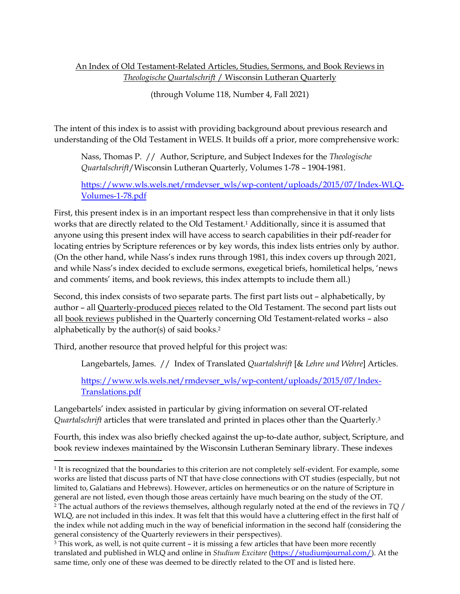# An Index of Old Testament-Related Articles, Studies, Sermons, and Book Reviews in *Theologische Quartalschrift* / Wisconsin Lutheran Quarterly

(through Volume 118, Number 4, Fall 2021)

The intent of this index is to assist with providing background about previous research and understanding of the Old Testament in WELS. It builds off a prior, more comprehensive work:

Nass, Thomas P. // Author, Scripture, and Subject Indexes for the *Theologische Quartalschrift*/Wisconsin Lutheran Quarterly, Volumes 1-78 – 1904-1981.

[https://www.wls.wels.net/rmdevser\\_wls/wp-content/uploads/2015/07/Index-WLQ-](https://www.wls.wels.net/rmdevser_wls/wp-content/uploads/2015/07/Index-WLQ-Volumes-1-78.pdf)[Volumes-1-78.pdf](https://www.wls.wels.net/rmdevser_wls/wp-content/uploads/2015/07/Index-WLQ-Volumes-1-78.pdf)

First, this present index is in an important respect less than comprehensive in that it only lists works that are directly related to the Old Testament.<sup>1</sup> Additionally, since it is assumed that anyone using this present index will have access to search capabilities in their pdf-reader for locating entries by Scripture references or by key words, this index lists entries only by author. (On the other hand, while Nass's index runs through 1981, this index covers up through 2021, and while Nass's index decided to exclude sermons, exegetical briefs, homiletical helps, 'news and comments' items, and book reviews, this index attempts to include them all.)

Second, this index consists of two separate parts. The first part lists out – alphabetically, by author – all Quarterly-produced pieces related to the Old Testament. The second part lists out all book reviews published in the Quarterly concerning Old Testament-related works – also alphabetically by the author(s) of said books.<sup>2</sup>

Third, another resource that proved helpful for this project was:

Langebartels, James. // Index of Translated *Quartalshrift* [& *Lehre und Wehre*] Articles.

[https://www.wls.wels.net/rmdevser\\_wls/wp-content/uploads/2015/07/Index-](https://www.wls.wels.net/rmdevser_wls/wp-content/uploads/2015/07/Index-Translations.pdf)[Translations.pdf](https://www.wls.wels.net/rmdevser_wls/wp-content/uploads/2015/07/Index-Translations.pdf)

Langebartels' index assisted in particular by giving information on several OT-related *Quartalschrift* articles that were translated and printed in places other than the Quarterly.<sup>3</sup>

Fourth, this index was also briefly checked against the up-to-date author, subject, Scripture, and book review indexes maintained by the Wisconsin Lutheran Seminary library. These indexes

<sup>1</sup> It is recognized that the boundaries to this criterion are not completely self-evident. For example, some works are listed that discuss parts of NT that have close connections with OT studies (especially, but not limited to, Galatians and Hebrews). However, articles on hermeneutics or on the nature of Scripture in general are not listed, even though those areas certainly have much bearing on the study of the OT. <sup>2</sup> The actual authors of the reviews themselves, although regularly noted at the end of the reviews in *TQ* / WLQ, are not included in this index. It was felt that this would have a cluttering effect in the first half of

the index while not adding much in the way of beneficial information in the second half (considering the general consistency of the Quarterly reviewers in their perspectives).

<sup>3</sup> This work, as well, is not quite current – it is missing a few articles that have been more recently translated and published in WLQ and online in *Studium Excitare* [\(https://studiumjournal.com/\)](https://studiumjournal.com/). At the same time, only one of these was deemed to be directly related to the OT and is listed here.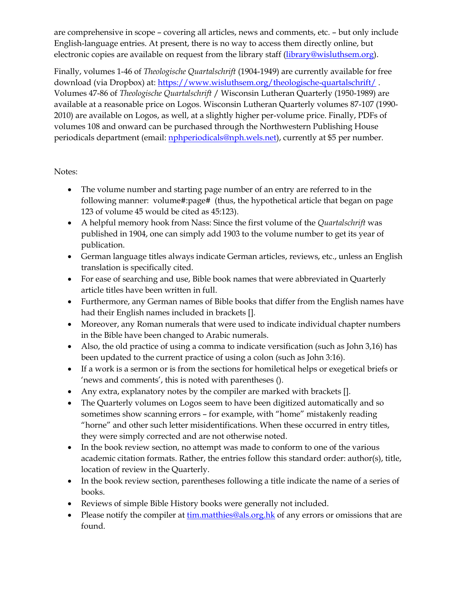are comprehensive in scope – covering all articles, news and comments, etc. – but only include English-language entries. At present, there is no way to access them directly online, but electronic copies are available on request from the library staff [\(library@wisluthsem.org\)](mailto:library@wisluthsem.org).

Finally, volumes 1-46 of *Theologische Quartalschrift* (1904-1949) are currently available for free download (via Dropbox) at:<https://www.wisluthsem.org/theologische-quartalschrift/> . Volumes 47-86 of *Theologische Quartalschrift* / Wisconsin Lutheran Quarterly (1950-1989) are available at a reasonable price on Logos. Wisconsin Lutheran Quarterly volumes 87-107 (1990- 2010) are available on Logos, as well, at a slightly higher per-volume price. Finally, PDFs of volumes 108 and onward can be purchased through the Northwestern Publishing House periodicals department (email: *nphperiodicals@nph.wels.net*), currently at \$5 per number.

# Notes:

- The volume number and starting page number of an entry are referred to in the following manner: volume#:page# (thus, the hypothetical article that began on page 123 of volume 45 would be cited as 45:123).
- A helpful memory hook from Nass: Since the first volume of the *Quartalschrift* was published in 1904, one can simply add 1903 to the volume number to get its year of publication.
- German language titles always indicate German articles, reviews, etc., unless an English translation is specifically cited.
- For ease of searching and use, Bible book names that were abbreviated in Quarterly article titles have been written in full.
- Furthermore, any German names of Bible books that differ from the English names have had their English names included in brackets [].
- Moreover, any Roman numerals that were used to indicate individual chapter numbers in the Bible have been changed to Arabic numerals.
- Also, the old practice of using a comma to indicate versification (such as John 3,16) has been updated to the current practice of using a colon (such as John 3:16).
- If a work is a sermon or is from the sections for homiletical helps or exegetical briefs or 'news and comments', this is noted with parentheses ().
- Any extra, explanatory notes by the compiler are marked with brackets [].
- The Quarterly volumes on Logos seem to have been digitized automatically and so sometimes show scanning errors – for example, with "home" mistakenly reading "horne" and other such letter misidentifications. When these occurred in entry titles, they were simply corrected and are not otherwise noted.
- In the book review section, no attempt was made to conform to one of the various academic citation formats. Rather, the entries follow this standard order: author(s), title, location of review in the Quarterly.
- In the book review section, parentheses following a title indicate the name of a series of books.
- Reviews of simple Bible History books were generally not included.
- Please notify the compiler at [tim.matthies@als.org.hk](mailto:tim.matthies@als.org.hk) of any errors or omissions that are found.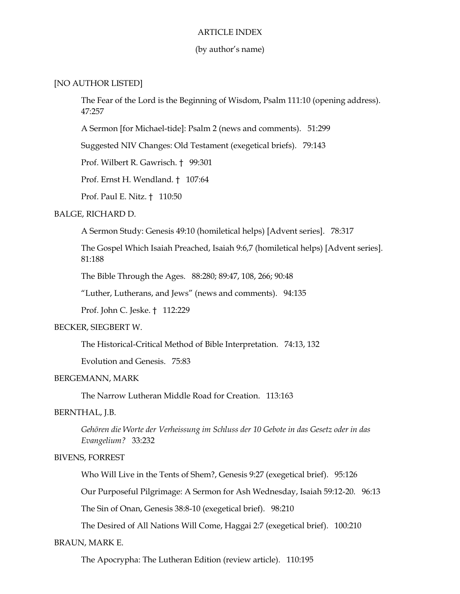### ARTICLE INDEX

### (by author's name)

## [NO AUTHOR LISTED]

The Fear of the Lord is the Beginning of Wisdom, Psalm 111:10 (opening address). 47:257

A Sermon [for Michael-tide]: Psalm 2 (news and comments). 51:299

Suggested NIV Changes: Old Testament (exegetical briefs). 79:143

Prof. Wilbert R. Gawrisch. † 99:301

Prof. Ernst H. Wendland. † 107:64

Prof. Paul E. Nitz. † 110:50

## BALGE, RICHARD D.

A Sermon Study: Genesis 49:10 (homiletical helps) [Advent series]. 78:317

The Gospel Which Isaiah Preached, Isaiah 9:6,7 (homiletical helps) [Advent series]. 81:188

The Bible Through the Ages. 88:280; 89:47, 108, 266; 90:48

"Luther, Lutherans, and Jews" (news and comments). 94:135

Prof. John C. Jeske. † 112:229

### BECKER, SIEGBERT W.

The Historical-Critical Method of Bible Interpretation. 74:13, 132

Evolution and Genesis. 75:83

### BERGEMANN, MARK

The Narrow Lutheran Middle Road for Creation. 113:163

## BERNTHAL, J.B.

*Gehören die Worte der Verheissung im Schluss der 10 Gebote in das Gesetz oder in das Evangelium?* 33:232

### BIVENS, FORREST

Who Will Live in the Tents of Shem?, Genesis 9:27 (exegetical brief). 95:126

Our Purposeful Pilgrimage: A Sermon for Ash Wednesday, Isaiah 59:12-20. 96:13

The Sin of Onan, Genesis 38:8-10 (exegetical brief). 98:210

The Desired of All Nations Will Come, Haggai 2:7 (exegetical brief). 100:210

### BRAUN, MARK E.

The Apocrypha: The Lutheran Edition (review article). 110:195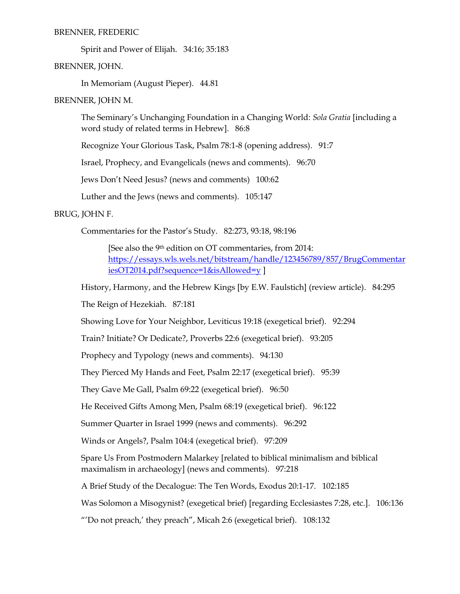### BRENNER, FREDERIC

Spirit and Power of Elijah. 34:16; 35:183

BRENNER, JOHN.

In Memoriam (August Pieper). 44.81

BRENNER, JOHN M.

The Seminary's Unchanging Foundation in a Changing World: *Sola Gratia* [including a word study of related terms in Hebrew]. 86:8

Recognize Your Glorious Task, Psalm 78:1-8 (opening address). 91:7

Israel, Prophecy, and Evangelicals (news and comments). 96:70

Jews Don't Need Jesus? (news and comments) 100:62

Luther and the Jews (news and comments). 105:147

# BRUG, JOHN F.

Commentaries for the Pastor's Study. 82:273, 93:18, 98:196

[See also the 9<sup>th</sup> edition on OT commentaries, from 2014: [https://essays.wls.wels.net/bitstream/handle/123456789/857/BrugCommentar](https://essays.wls.wels.net/bitstream/handle/123456789/857/BrugCommentariesOT2014.pdf?sequence=1&isAllowed=y) [iesOT2014.pdf?sequence=1&isAllowed=y](https://essays.wls.wels.net/bitstream/handle/123456789/857/BrugCommentariesOT2014.pdf?sequence=1&isAllowed=y) ]

History, Harmony, and the Hebrew Kings [by E.W. Faulstich] (review article). 84:295

The Reign of Hezekiah. 87:181

Showing Love for Your Neighbor, Leviticus 19:18 (exegetical brief). 92:294

Train? Initiate? Or Dedicate?, Proverbs 22:6 (exegetical brief). 93:205

Prophecy and Typology (news and comments). 94:130

They Pierced My Hands and Feet, Psalm 22:17 (exegetical brief). 95:39

They Gave Me Gall, Psalm 69:22 (exegetical brief). 96:50

He Received Gifts Among Men, Psalm 68:19 (exegetical brief). 96:122

Summer Quarter in Israel 1999 (news and comments). 96:292

Winds or Angels?, Psalm 104:4 (exegetical brief). 97:209

Spare Us From Postmodern Malarkey [related to biblical minimalism and biblical maximalism in archaeology] (news and comments). 97:218

A Brief Study of the Decalogue: The Ten Words, Exodus 20:1-17. 102:185

Was Solomon a Misogynist? (exegetical brief) [regarding Ecclesiastes 7:28, etc.]. 106:136

"'Do not preach,' they preach", Micah 2:6 (exegetical brief). 108:132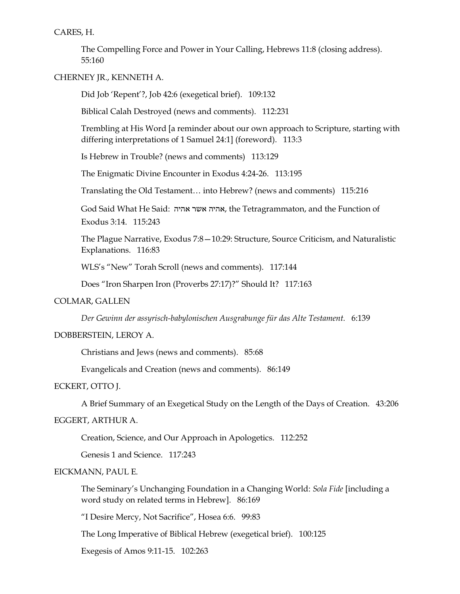CARES, H.

The Compelling Force and Power in Your Calling, Hebrews 11:8 (closing address). 55:160

CHERNEY JR., KENNETH A.

Did Job 'Repent'?, Job 42:6 (exegetical brief). 109:132

Biblical Calah Destroyed (news and comments). 112:231

Trembling at His Word [a reminder about our own approach to Scripture, starting with differing interpretations of 1 Samuel 24:1] (foreword). 113:3

Is Hebrew in Trouble? (news and comments) 113:129

The Enigmatic Divine Encounter in Exodus 4:24-26. 113:195

Translating the Old Testament… into Hebrew? (news and comments) 115:216

God Said What He Said: אהיה אשר אהיה, the Tetragrammaton, and the Function of Exodus 3:14. 115:243

The Plague Narrative, Exodus 7:8—10:29: Structure, Source Criticism, and Naturalistic Explanations. 116:83

WLS's "New" Torah Scroll (news and comments). 117:144

Does "Iron Sharpen Iron (Proverbs 27:17)?" Should It? 117:163

### COLMAR, GALLEN

*Der Gewinn der assyrisch-babylonischen Ausgrabunge für das Alte Testament.* 6:139

### DOBBERSTEIN, LEROY A.

Christians and Jews (news and comments). 85:68

Evangelicals and Creation (news and comments). 86:149

## ECKERT, OTTO J.

A Brief Summary of an Exegetical Study on the Length of the Days of Creation. 43:206

## EGGERT, ARTHUR A.

Creation, Science, and Our Approach in Apologetics. 112:252

Genesis 1 and Science. 117:243

## EICKMANN, PAUL E.

The Seminary's Unchanging Foundation in a Changing World: *Sola Fide* [including a word study on related terms in Hebrew]. 86:169

"I Desire Mercy, Not Sacrifice", Hosea 6:6. 99:83

The Long Imperative of Biblical Hebrew (exegetical brief). 100:125

Exegesis of Amos 9:11-15. 102:263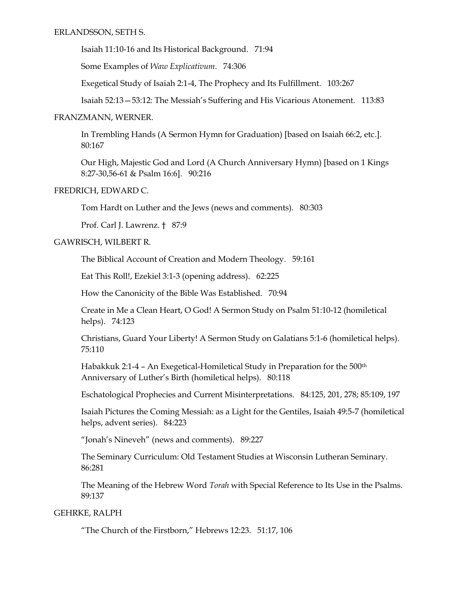Isaiah 11:10-16 and Its Historical Background. 71:94

Some Examples of *Waw Explicativum*. 74:306

Exegetical Study of Isaiah 2:1-4, The Prophecy and Its Fulfillment. 103:267

Isaiah 52:13—53:12: The Messiah's Suffering and His Vicarious Atonement. 113:83

# FRANZMANN, WERNER.

In Trembling Hands (A Sermon Hymn for Graduation) [based on Isaiah 66:2, etc.]. 80:167

Our High, Majestic God and Lord (A Church Anniversary Hymn) [based on 1 Kings 8:27-30,56-61 & Psalm 16:6]. 90:216

# FREDRICH, EDWARD C.

Tom Hardt on Luther and the Jews (news and comments). 80:303

Prof. Carl J. Lawrenz. † 87:9

# GAWRISCH, WILBERT R.

The Biblical Account of Creation and Modern Theology. 59:161

Eat This Roll!, Ezekiel 3:1-3 (opening address). 62:225

How the Canonicity of the Bible Was Established. 70:94

Create in Me a Clean Heart, O God! A Sermon Study on Psalm 51:10-12 (homiletical helps). 74:123

Christians, Guard Your Liberty! A Sermon Study on Galatians 5:1-6 (homiletical helps). 75:110

Habakkuk 2:1-4 - An Exegetical-Homiletical Study in Preparation for the 500<sup>th</sup> Anniversary of Luther's Birth (homiletical helps). 80:118

Eschatological Prophecies and Current Misinterpretations. 84:125, 201, 278; 85:109, 197

Isaiah Pictures the Coming Messiah: as a Light for the Gentiles, Isaiah 49:5-7 (homiletical helps, advent series). 84:223

"Jonah's Nineveh" (news and comments). 89:227

The Seminary Curriculum: Old Testament Studies at Wisconsin Lutheran Seminary. 86:281

The Meaning of the Hebrew Word *Torah* with Special Reference to Its Use in the Psalms. 89:137

# GEHRKE, RALPH

"The Church of the Firstborn," Hebrews 12:23. 51:17, 106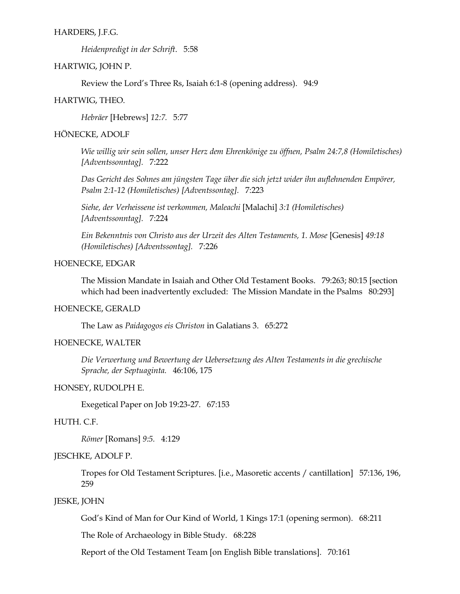### HARDERS, J.F.G.

*Heidenpredigt in der Schrift*. 5:58

### HARTWIG, JOHN P.

Review the Lord's Three Rs, Isaiah 6:1-8 (opening address). 94:9

### HARTWIG, THEO.

*Hebräer* [Hebrews] *12:7.* 5:77

## HÖNECKE, ADOLF

*Wie willig wir sein sollen, unser Herz dem Ehrenkönige zu öffnen, Psalm 24:7,8 (Homiletisches) [Adventssonntag].* 7:222

*Das Gericht des Sohnes am jüngsten Tage über die sich jetzt wider ihn auflehnenden Empörer, Psalm 2:1-12 (Homiletisches) [Adventssontag].* 7:223

*Siehe, der Verheissene ist verkommen, Maleachi* [Malachi] *3:1 (Homiletisches) [Adventssonntag].* 7:224

*Ein Bekenntnis von Christo aus der Urzeit des Alten Testaments, 1. Mose* [Genesis] *49:18 (Homiletisches) [Adventssontag].* 7:226

## HOENECKE, EDGAR

The Mission Mandate in Isaiah and Other Old Testament Books. 79:263; 80:15 [section which had been inadvertently excluded: The Mission Mandate in the Psalms 80:293]

## HOENECKE, GERALD

The Law as *Paidagogos eis Christon* in Galatians 3. 65:272

### HOENECKE, WALTER

*Die Verwertung und Bewertung der Uebersetzung des Alten Testaments in die grechische Sprache, der Septuaginta.* 46:106, 175

## HONSEY, RUDOLPH E.

Exegetical Paper on Job 19:23-27. 67:153

### HUTH. C.F.

*Römer* [Romans] *9:5.* 4:129

## JESCHKE, ADOLF P.

Tropes for Old Testament Scriptures. [i.e., Masoretic accents / cantillation] 57:136, 196, 259

### JESKE, JOHN

God's Kind of Man for Our Kind of World, 1 Kings 17:1 (opening sermon). 68:211

The Role of Archaeology in Bible Study. 68:228

Report of the Old Testament Team [on English Bible translations]. 70:161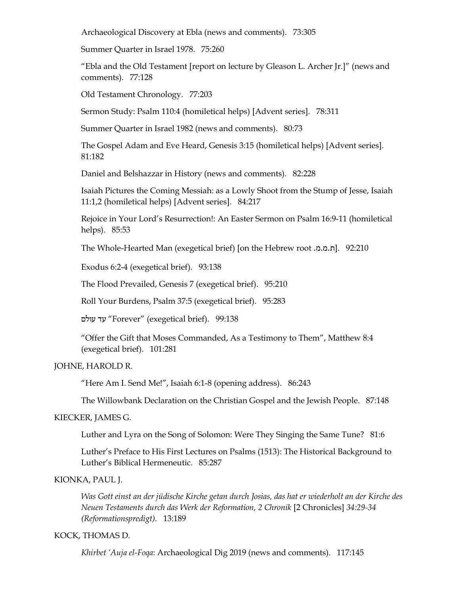Archaeological Discovery at Ebla (news and comments). 73:305

Summer Quarter in Israel 1978. 75:260

"Ebla and the Old Testament [report on lecture by Gleason L. Archer Jr.]" (news and comments). 77:128

Old Testament Chronology. 77:203

Sermon Study: Psalm 110:4 (homiletical helps) [Advent series]. 78:311

Summer Quarter in Israel 1982 (news and comments). 80:73

The Gospel Adam and Eve Heard, Genesis 3:15 (homiletical helps) [Advent series]. 81:182

Daniel and Belshazzar in History (news and comments). 82:228

Isaiah Pictures the Coming Messiah: as a Lowly Shoot from the Stump of Jesse, Isaiah 11:1,2 (homiletical helps) [Advent series]. 84:217

Rejoice in Your Lord's Resurrection!: An Easter Sermon on Psalm 16:9-11 (homiletical helps). 85:53

The Whole-Hearted Man (exegetical brief) [on the Hebrew root .מ. מ.ת[. 92:210

Exodus 6:2-4 (exegetical brief). 93:138

The Flood Prevailed, Genesis 7 (exegetical brief). 95:210

Roll Your Burdens, Psalm 37:5 (exegetical brief). 95:283

עולם עד" Forever" (exegetical brief). 99:138

"Offer the Gift that Moses Commanded, As a Testimony to Them", Matthew 8:4 (exegetical brief). 101:281

#### JOHNE, HAROLD R.

"Here Am I. Send Me!", Isaiah 6:1-8 (opening address). 86:243

The Willowbank Declaration on the Christian Gospel and the Jewish People. 87:148

### KIECKER, JAMES G.

Luther and Lyra on the Song of Solomon: Were They Singing the Same Tune? 81:6

Luther's Preface to His First Lectures on Psalms (1513): The Historical Background to Luther's Biblical Hermeneutic. 85:287

### KIONKA, PAUL J.

*Was Gott einst an der jüdische Kirche getan durch Josias, das hat er wiederholt an der Kirche des Neuen Testaments durch das Werk der Reformation, 2 Chronik* [2 Chronicles] *34:29-34 (Reformationspredigt).* 13:189

#### KOCK, THOMAS D.

*Khirbet 'Auja el-Foqa*: Archaeological Dig 2019 (news and comments). 117:145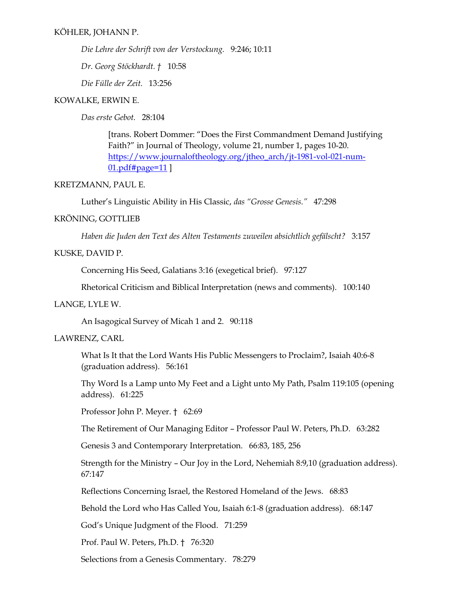*Die Lehre der Schrift von der Verstockung.* 9:246; 10:11

*Dr. Georg Stöckhardt. †* 10:58

*Die Fülle der Zeit.* 13:256

### KOWALKE, ERWIN E.

*Das erste Gebot.* 28:104

[trans. Robert Dommer: "Does the First Commandment Demand Justifying Faith?" in Journal of Theology, volume 21, number 1, pages 10-20. [https://www.journaloftheology.org/jtheo\\_arch/jt-1981-vol-021-num-](https://www.journaloftheology.org/jtheo_arch/jt-1981-vol-021-num-01.pdf#page=11)[01.pdf#page=11](https://www.journaloftheology.org/jtheo_arch/jt-1981-vol-021-num-01.pdf#page=11) ]

#### KRETZMANN, PAUL E.

Luther's Linguistic Ability in His Classic, *das "Grosse Genesis."* 47:298

### KRÖNING, GOTTLIEB

*Haben die Juden den Text des Alten Testaments zuweilen absichtlich gefälscht?* 3:157

### KUSKE, DAVID P.

Concerning His Seed, Galatians 3:16 (exegetical brief). 97:127

Rhetorical Criticism and Biblical Interpretation (news and comments). 100:140

## LANGE, LYLE W.

An Isagogical Survey of Micah 1 and 2. 90:118

## LAWRENZ, CARL

What Is It that the Lord Wants His Public Messengers to Proclaim?, Isaiah 40:6-8 (graduation address). 56:161

Thy Word Is a Lamp unto My Feet and a Light unto My Path, Psalm 119:105 (opening address). 61:225

Professor John P. Meyer. † 62:69

The Retirement of Our Managing Editor – Professor Paul W. Peters, Ph.D. 63:282

Genesis 3 and Contemporary Interpretation. 66:83, 185, 256

Strength for the Ministry – Our Joy in the Lord, Nehemiah 8:9,10 (graduation address). 67:147

Reflections Concerning Israel, the Restored Homeland of the Jews. 68:83

Behold the Lord who Has Called You, Isaiah 6:1-8 (graduation address). 68:147

God's Unique Judgment of the Flood. 71:259

Prof. Paul W. Peters, Ph.D. † 76:320

Selections from a Genesis Commentary. 78:279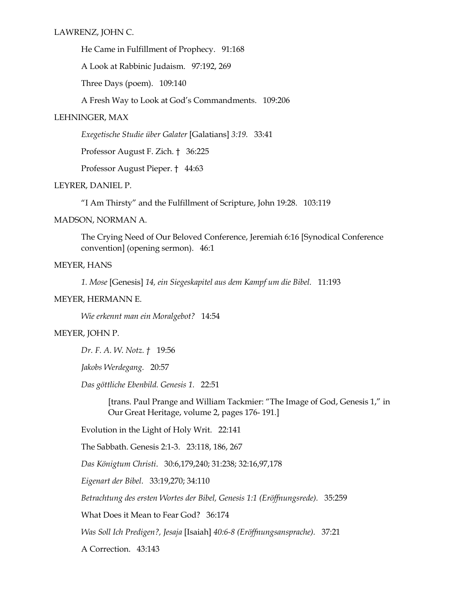He Came in Fulfillment of Prophecy. 91:168

A Look at Rabbinic Judaism. 97:192, 269

Three Days (poem). 109:140

A Fresh Way to Look at God's Commandments. 109:206

## LEHNINGER, MAX

*Exegetische Studie über Galater* [Galatians] *3:19.* 33:41

Professor August F. Zich. † 36:225

Professor August Pieper. † 44:63

## LEYRER, DANIEL P.

"I Am Thirsty" and the Fulfillment of Scripture, John 19:28. 103:119

MADSON, NORMAN A.

The Crying Need of Our Beloved Conference, Jeremiah 6:16 [Synodical Conference convention] (opening sermon). 46:1

## MEYER, HANS

*1. Mose* [Genesis] *14, ein Siegeskapitel aus dem Kampf um die Bibel.* 11:193

### MEYER, HERMANN E.

*Wie erkennt man ein Moralgebot?* 14:54

## MEYER, JOHN P.

*Dr. F. A. W. Notz. †* 19:56

*Jakobs Werdegang.* 20:57

*Das göttliche Ebenbild. Genesis 1.* 22:51

[trans. Paul Prange and William Tackmier: "The Image of God, Genesis 1," in Our Great Heritage, volume 2, pages 176- 191.]

Evolution in the Light of Holy Writ. 22:141

The Sabbath. Genesis 2:1-3. 23:118, 186, 267

*Das Königtum Christi*. 30:6,179,240; 31:238; 32:16,97,178

*Eigenart der Bibel.* 33:19,270; 34:110

*Betrachtung des ersten Wortes der Bibel, Genesis 1:1 (Eröffnungsrede).* 35:259

What Does it Mean to Fear God? 36:174

*Was Soll Ich Predigen?, Jesaja* [Isaiah] *40:6-8 (Eröffnungsansprache).* 37:21

A Correction. 43:143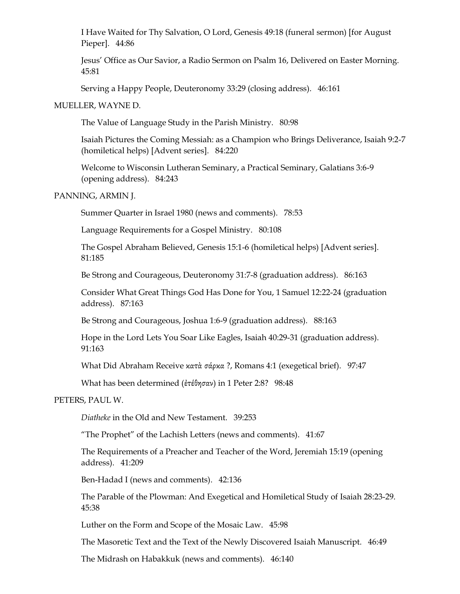I Have Waited for Thy Salvation, O Lord, Genesis 49:18 (funeral sermon) [for August Pieper]. 44:86

Jesus' Office as Our Savior, a Radio Sermon on Psalm 16, Delivered on Easter Morning. 45:81

Serving a Happy People, Deuteronomy 33:29 (closing address). 46:161

### MUELLER, WAYNE D.

The Value of Language Study in the Parish Ministry. 80:98

Isaiah Pictures the Coming Messiah: as a Champion who Brings Deliverance, Isaiah 9:2-7 (homiletical helps) [Advent series]. 84:220

Welcome to Wisconsin Lutheran Seminary, a Practical Seminary, Galatians 3:6-9 (opening address). 84:243

# PANNING, ARMIN J.

Summer Quarter in Israel 1980 (news and comments). 78:53

Language Requirements for a Gospel Ministry. 80:108

The Gospel Abraham Believed, Genesis 15:1-6 (homiletical helps) [Advent series]. 81:185

Be Strong and Courageous, Deuteronomy 31:7-8 (graduation address). 86:163

Consider What Great Things God Has Done for You, 1 Samuel 12:22-24 (graduation address). 87:163

Be Strong and Courageous, Joshua 1:6-9 (graduation address). 88:163

Hope in the Lord Lets You Soar Like Eagles, Isaiah 40:29-31 (graduation address). 91:163

What Did Abraham Receive κατὰ σάρκα ?, Romans 4:1 (exegetical brief). 97:47

What has been determined (ἐτέθησαν) in 1 Peter 2:8? 98:48

### PETERS, PAUL W.

*Diatheke* in the Old and New Testament. 39:253

"The Prophet" of the Lachish Letters (news and comments). 41:67

The Requirements of a Preacher and Teacher of the Word, Jeremiah 15:19 (opening address). 41:209

Ben-Hadad I (news and comments). 42:136

The Parable of the Plowman: And Exegetical and Homiletical Study of Isaiah 28:23-29. 45:38

Luther on the Form and Scope of the Mosaic Law. 45:98

The Masoretic Text and the Text of the Newly Discovered Isaiah Manuscript. 46:49

The Midrash on Habakkuk (news and comments). 46:140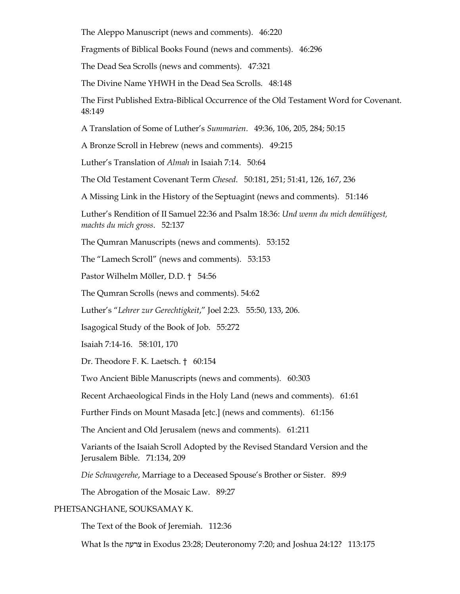The Aleppo Manuscript (news and comments). 46:220

Fragments of Biblical Books Found (news and comments). 46:296

The Dead Sea Scrolls (news and comments). 47:321

The Divine Name YHWH in the Dead Sea Scrolls. 48:148

The First Published Extra-Biblical Occurrence of the Old Testament Word for Covenant. 48:149

A Translation of Some of Luther's *Summarien*. 49:36, 106, 205, 284; 50:15

A Bronze Scroll in Hebrew (news and comments). 49:215

Luther's Translation of *Almah* in Isaiah 7:14. 50:64

The Old Testament Covenant Term *Chesed*. 50:181, 251; 51:41, 126, 167, 236

A Missing Link in the History of the Septuagint (news and comments). 51:146

Luther's Rendition of II Samuel 22:36 and Psalm 18:36: *Und wenn du mich demütigest, machts du mich gross*. 52:137

The Qumran Manuscripts (news and comments). 53:152

The "Lamech Scroll" (news and comments). 53:153

Pastor Wilhelm Möller, D.D. † 54:56

The Qumran Scrolls (news and comments). 54:62

Luther's "*Lehrer zur Gerechtigkeit*," Joel 2:23. 55:50, 133, 206.

Isagogical Study of the Book of Job. 55:272

Isaiah 7:14-16. 58:101, 170

Dr. Theodore F. K. Laetsch. † 60:154

Two Ancient Bible Manuscripts (news and comments). 60:303

Recent Archaeological Finds in the Holy Land (news and comments). 61:61

Further Finds on Mount Masada [etc.] (news and comments). 61:156

The Ancient and Old Jerusalem (news and comments). 61:211

Variants of the Isaiah Scroll Adopted by the Revised Standard Version and the Jerusalem Bible. 71:134, 209

*Die Schwagerehe*, Marriage to a Deceased Spouse's Brother or Sister. 89:9

The Abrogation of the Mosaic Law. 89:27

### PHETSANGHANE, SOUKSAMAY K.

The Text of the Book of Jeremiah. 112:36

What Is the צרעה in Exodus 23:28; Deuteronomy 7:20; and Joshua 24:12? 113:175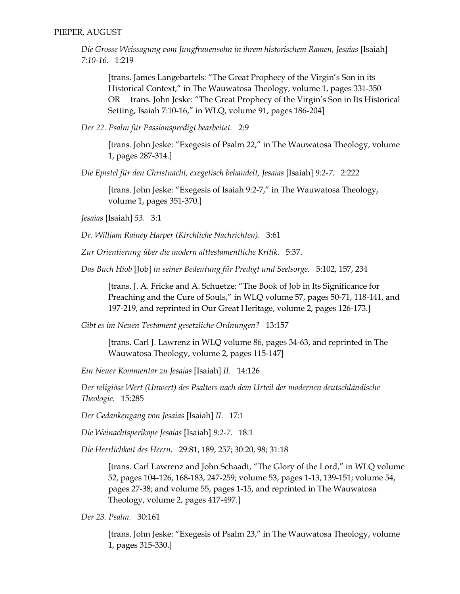*Die Grosse Weissagung vom Jungfrauensohn in ihrem historischem Ramen, Jesaias* [Isaiah] *7:10-16.* 1:219

[trans. James Langebartels: "The Great Prophecy of the Virgin's Son in its Historical Context," in The Wauwatosa Theology, volume 1, pages 331-350 OR trans. John Jeske: "The Great Prophecy of the Virgin's Son in Its Historical Setting, Isaiah 7:10-16," in WLQ, volume 91, pages 186-204]

*Der 22. Psalm für Passionspredigt bearbeitet.* 2:9

[trans. John Jeske: "Exegesis of Psalm 22," in The Wauwatosa Theology, volume 1, pages 287-314.]

*Die Epistel für den Christnacht, exegetisch behandelt, Jesaias* [Isaiah] *9:2-7.* 2:222

[trans. John Jeske: "Exegesis of Isaiah 9:2-7," in The Wauwatosa Theology, volume 1, pages 351-370.]

*Jesaias* [Isaiah] *53.* 3:1

*Dr. William Rainey Harper (Kirchliche Nachrichten).* 3:61

*Zur Orientierung über die modern alttestamentliche Kritik.* 5:37.

*Das Buch Hiob* [Job] *in seiner Bedeutung für Predigt und Seelsorge.* 5:102, 157, 234

[trans. J. A. Fricke and A. Schuetze: "The Book of Job in Its Significance for Preaching and the Cure of Souls," in WLQ volume 57, pages 50-71, 118-141, and 197-219, and reprinted in Our Great Heritage, volume 2, pages 126-173.]

*Gibt es im Neuen Testament gesetzliche Ordnungen?* 13:157

[trans. Carl J. Lawrenz in WLQ volume 86, pages 34-63, and reprinted in The Wauwatosa Theology, volume 2, pages 115-147]

*Ein Neuer Kommentar zu Jesaias* [Isaiah] *II*. 14:126

*Der religiöse Wert (Unwert) des Psalters nach dem Urteil der modernen deutschländische Theologie.* 15:285

*Der Gedankengang von Jesaias* [Isaiah] *II.* 17:1

*Die Weinachtsperikope Jesaias* [Isaiah] *9:2-7.* 18:1

*Die Herrlichkeit des Herrn.* 29:81, 189, 257; 30:20, 98; 31:18

[trans. Carl Lawrenz and John Schaadt, "The Glory of the Lord," in WLQ volume 52, pages 104-126, 168-183, 247-259; volume 53, pages 1-13, 139-151; volume 54, pages 27-38; and volume 55, pages 1-15, and reprinted in The Wauwatosa Theology, volume 2, pages 417-497.]

*Der 23. Psalm.* 30:161

[trans. John Jeske: "Exegesis of Psalm 23," in The Wauwatosa Theology, volume 1, pages 315-330.]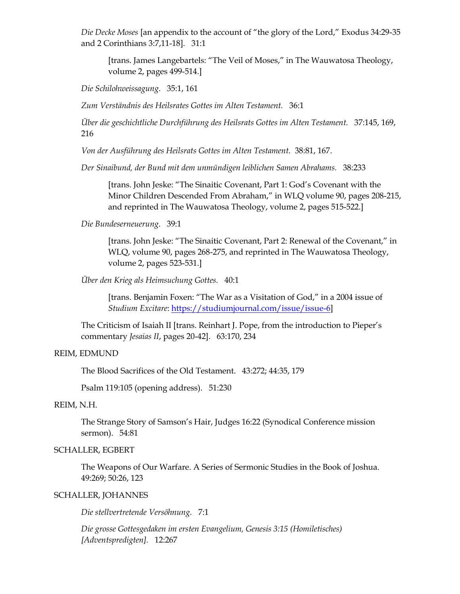*Die Decke Moses* [an appendix to the account of "the glory of the Lord," Exodus 34:29-35 and 2 Corinthians 3:7,11-18]*.* 31:1

[trans. James Langebartels: "The Veil of Moses," in The Wauwatosa Theology, volume 2, pages 499-514.]

*Die Schilohweissagung.* 35:1, 161

*Zum Verständnis des Heilsrates Gottes im Alten Testament.* 36:1

*Über die geschichtliche Durchführung des Heilsrats Gottes im Alten Testament.* 37:145, 169, 216

*Von der Ausführung des Heilsrats Gottes im Alten Testament.* 38:81, 167.

*Der Sinaibund, der Bund mit dem unmündigen leiblichen Samen Abrahams.* 38:233

[trans. John Jeske: "The Sinaitic Covenant, Part 1: God's Covenant with the Minor Children Descended From Abraham," in WLQ volume 90, pages 208-215, and reprinted in The Wauwatosa Theology, volume 2, pages 515-522.]

*Die Bundeserneuerung.* 39:1

[trans. John Jeske: "The Sinaitic Covenant, Part 2: Renewal of the Covenant," in WLQ, volume 90, pages 268-275, and reprinted in The Wauwatosa Theology, volume 2, pages 523-531.]

*Über den Krieg als Heimsuchung Gottes.* 40:1

[trans. Benjamin Foxen: "The War as a Visitation of God," in a 2004 issue of *Studium Excitare*: [https://studiumjournal.com/issue/issue-6\]](https://studiumjournal.com/issue/issue-6)

The Criticism of Isaiah II [trans. Reinhart J. Pope, from the introduction to Pieper's commentary *Jesaias II*, pages 20-42]. 63:170, 234

#### REIM, EDMUND

The Blood Sacrifices of the Old Testament. 43:272; 44:35, 179

Psalm 119:105 (opening address). 51:230

## REIM, N.H.

The Strange Story of Samson's Hair, Judges 16:22 (Synodical Conference mission sermon). 54:81

### SCHALLER, EGBERT

The Weapons of Our Warfare. A Series of Sermonic Studies in the Book of Joshua. 49:269; 50:26, 123

## SCHALLER, JOHANNES

*Die stellvertretende Versöhnung.* 7:1

*Die grosse Gottesgedaken im ersten Evangelium, Genesis 3:15 (Homiletisches) [Adventspredigten].* 12:267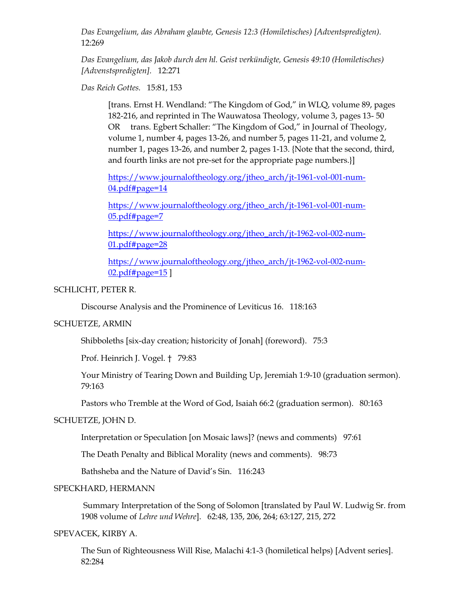*Das Evangelium, das Abraham glaubte, Genesis 12:3 (Homiletisches) [Adventspredigten).* 12:269

*Das Evangelium, das Jakob durch den hl. Geist verkündigte, Genesis 49:10 (Homiletisches) [Advenstspredigten].* 12:271

*Das Reich Gottes.* 15:81, 153

[trans. Ernst H. Wendland: "The Kingdom of God," in WLQ, volume 89, pages 182-216, and reprinted in The Wauwatosa Theology, volume 3, pages 13- 50 OR trans. Egbert Schaller: "The Kingdom of God," in Journal of Theology, volume 1, number 4, pages 13-26, and number 5, pages 11-21, and volume 2, number 1, pages 13-26, and number 2, pages 1-13. {Note that the second, third, and fourth links are not pre-set for the appropriate page numbers.}]

[https://www.journaloftheology.org/jtheo\\_arch/jt-1961-vol-001-num-](https://www.journaloftheology.org/jtheo_arch/jt-1961-vol-001-num-04.pdf#page=14)[04.pdf#page=14](https://www.journaloftheology.org/jtheo_arch/jt-1961-vol-001-num-04.pdf#page=14)

[https://www.journaloftheology.org/jtheo\\_arch/jt-1961-vol-001-num-](https://www.journaloftheology.org/jtheo_arch/jt-1961-vol-001-num-05.pdf#page=7)[05.pdf#page=7](https://www.journaloftheology.org/jtheo_arch/jt-1961-vol-001-num-05.pdf#page=7)

[https://www.journaloftheology.org/jtheo\\_arch/jt-1962-vol-002-num-](https://www.journaloftheology.org/jtheo_arch/jt-1962-vol-002-num-01.pdf#page=28)[01.pdf#page=28](https://www.journaloftheology.org/jtheo_arch/jt-1962-vol-002-num-01.pdf#page=28)

[https://www.journaloftheology.org/jtheo\\_arch/jt-1962-vol-002-num-](https://www.journaloftheology.org/jtheo_arch/jt-1962-vol-002-num-02.pdf#page=15)[02.pdf#page=15](https://www.journaloftheology.org/jtheo_arch/jt-1962-vol-002-num-02.pdf#page=15) ]

## SCHLICHT, PETER R.

Discourse Analysis and the Prominence of Leviticus 16. 118:163

## SCHUETZE, ARMIN

Shibboleths [six-day creation; historicity of Jonah] (foreword). 75:3

Prof. Heinrich J. Vogel. † 79:83

Your Ministry of Tearing Down and Building Up, Jeremiah 1:9-10 (graduation sermon). 79:163

Pastors who Tremble at the Word of God, Isaiah 66:2 (graduation sermon). 80:163

## SCHUETZE, JOHN D.

Interpretation or Speculation [on Mosaic laws]? (news and comments) 97:61

The Death Penalty and Biblical Morality (news and comments). 98:73

Bathsheba and the Nature of David's Sin. 116:243

### SPECKHARD, HERMANN

Summary Interpretation of the Song of Solomon [translated by Paul W. Ludwig Sr. from 1908 volume of *Lehre und Wehre*]. 62:48, 135, 206, 264; 63:127, 215, 272

## SPEVACEK, KIRBY A.

The Sun of Righteousness Will Rise, Malachi 4:1-3 (homiletical helps) [Advent series]. 82:284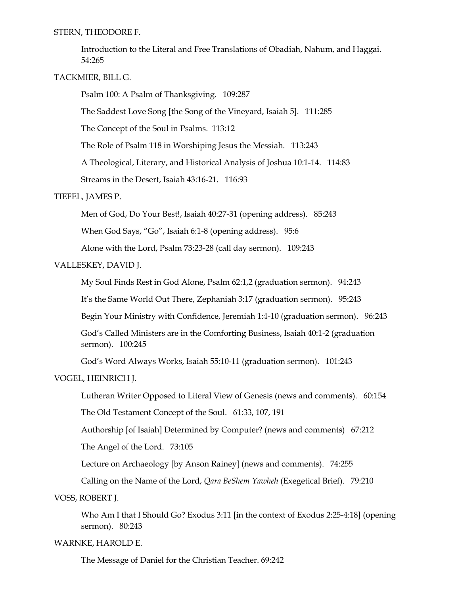STERN, THEODORE F.

Introduction to the Literal and Free Translations of Obadiah, Nahum, and Haggai. 54:265

TACKMIER, BILL G.

Psalm 100: A Psalm of Thanksgiving. 109:287

The Saddest Love Song [the Song of the Vineyard, Isaiah 5]. 111:285

The Concept of the Soul in Psalms. 113:12

The Role of Psalm 118 in Worshiping Jesus the Messiah. 113:243

A Theological, Literary, and Historical Analysis of Joshua 10:1-14. 114:83

Streams in the Desert, Isaiah 43:16-21. 116:93

## TIEFEL, JAMES P.

Men of God, Do Your Best!, Isaiah 40:27-31 (opening address). 85:243

When God Says, "Go", Isaiah 6:1-8 (opening address). 95:6

Alone with the Lord, Psalm 73:23-28 (call day sermon). 109:243

## VALLESKEY, DAVID J.

My Soul Finds Rest in God Alone, Psalm 62:1,2 (graduation sermon). 94:243

It's the Same World Out There, Zephaniah 3:17 (graduation sermon). 95:243

Begin Your Ministry with Confidence, Jeremiah 1:4-10 (graduation sermon). 96:243

God's Called Ministers are in the Comforting Business, Isaiah 40:1-2 (graduation sermon). 100:245

God's Word Always Works, Isaiah 55:10-11 (graduation sermon). 101:243

VOGEL, HEINRICH J.

Lutheran Writer Opposed to Literal View of Genesis (news and comments). 60:154

The Old Testament Concept of the Soul. 61:33, 107, 191

Authorship [of Isaiah] Determined by Computer? (news and comments) 67:212

The Angel of the Lord. 73:105

Lecture on Archaeology [by Anson Rainey] (news and comments). 74:255

Calling on the Name of the Lord, *Qara BeShem Yawheh* (Exegetical Brief). 79:210

VOSS, ROBERT J.

Who Am I that I Should Go? Exodus 3:11 [in the context of Exodus 2:25-4:18] (opening sermon). 80:243

### WARNKE, HAROLD E.

The Message of Daniel for the Christian Teacher. 69:242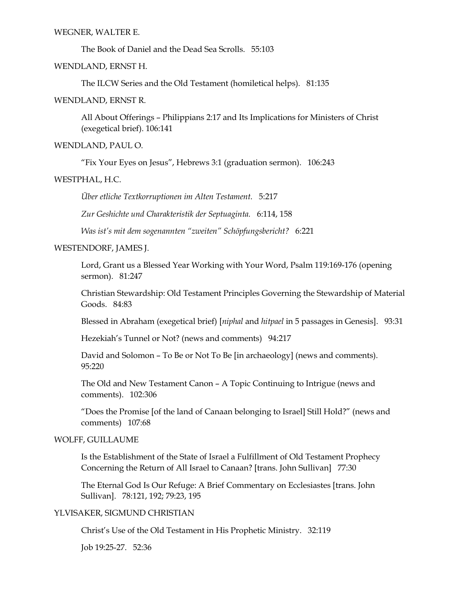#### WEGNER, WALTER E.

The Book of Daniel and the Dead Sea Scrolls. 55:103

WENDLAND, ERNST H.

The ILCW Series and the Old Testament (homiletical helps). 81:135

WENDLAND, ERNST R.

All About Offerings – Philippians 2:17 and Its Implications for Ministers of Christ (exegetical brief). 106:141

WENDLAND, PAUL O.

"Fix Your Eyes on Jesus", Hebrews 3:1 (graduation sermon). 106:243

#### WESTPHAL, H.C.

*Über etliche Textkorruptionen im Alten Testament.* 5:217

*Zur Geshichte und Charakteristik der Septuaginta.* 6:114, 158

*Was ist's mit dem sogenannten "zweiten" Schöpfungsbericht?* 6:221

### WESTENDORF, JAMES J.

Lord, Grant us a Blessed Year Working with Your Word, Psalm 119:169-176 (opening sermon). 81:247

Christian Stewardship: Old Testament Principles Governing the Stewardship of Material Goods. 84:83

Blessed in Abraham (exegetical brief) [*niphal* and *hitpael* in 5 passages in Genesis]. 93:31

Hezekiah's Tunnel or Not? (news and comments) 94:217

David and Solomon – To Be or Not To Be [in archaeology] (news and comments). 95:220

The Old and New Testament Canon – A Topic Continuing to Intrigue (news and comments). 102:306

"Does the Promise [of the land of Canaan belonging to Israel] Still Hold?" (news and comments) 107:68

## WOLFF, GUILLAUME

Is the Establishment of the State of Israel a Fulfillment of Old Testament Prophecy Concerning the Return of All Israel to Canaan? [trans. John Sullivan] 77:30

The Eternal God Is Our Refuge: A Brief Commentary on Ecclesiastes [trans. John Sullivan]. 78:121, 192; 79:23, 195

## YLVISAKER, SIGMUND CHRISTIAN

Christ's Use of the Old Testament in His Prophetic Ministry. 32:119

Job 19:25-27. 52:36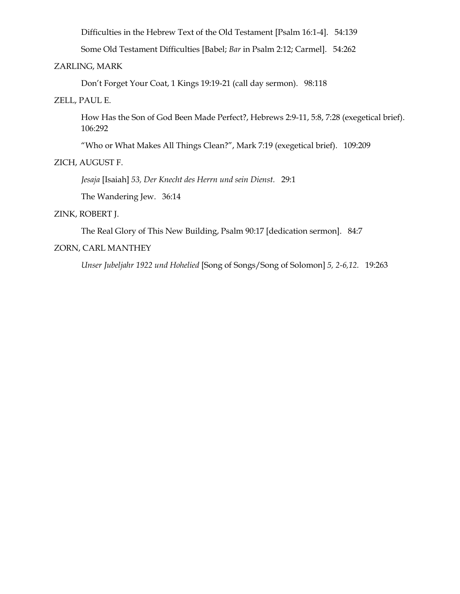Difficulties in the Hebrew Text of the Old Testament [Psalm 16:1-4]. 54:139

Some Old Testament Difficulties [Babel; *Bar* in Psalm 2:12; Carmel]. 54:262

## ZARLING, MARK

Don't Forget Your Coat, 1 Kings 19:19-21 (call day sermon). 98:118

ZELL, PAUL E.

How Has the Son of God Been Made Perfect?, Hebrews 2:9-11, 5:8, 7:28 (exegetical brief). 106:292

"Who or What Makes All Things Clean?", Mark 7:19 (exegetical brief). 109:209

#### ZICH, AUGUST F.

*Jesaja* [Isaiah] *53, Der Knecht des Herrn und sein Dienst.* 29:1

The Wandering Jew. 36:14

### ZINK, ROBERT J.

The Real Glory of This New Building, Psalm 90:17 [dedication sermon]. 84:7

# ZORN, CARL MANTHEY

*Unser Jubeljahr 1922 und Hohelied* [Song of Songs/Song of Solomon] *5, 2-6,12.* 19:263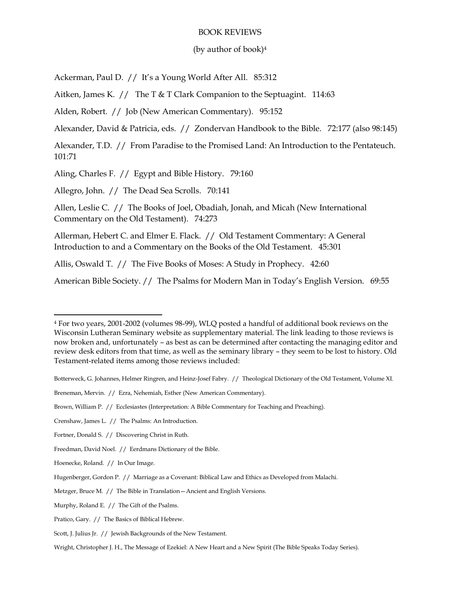#### BOOK REVIEWS

#### (by author of book)<sup>4</sup>

Ackerman, Paul D. // It's a Young World After All. 85:312

Aitken, James K. // The T & T Clark Companion to the Septuagint. 114:63

Alden, Robert. // Job (New American Commentary). 95:152

Alexander, David & Patricia, eds. // Zondervan Handbook to the Bible. 72:177 (also 98:145)

Alexander, T.D. // From Paradise to the Promised Land: An Introduction to the Pentateuch. 101:71

Aling, Charles F. // Egypt and Bible History. 79:160

Allegro, John. // The Dead Sea Scrolls. 70:141

Allen, Leslie C. // The Books of Joel, Obadiah, Jonah, and Micah (New International Commentary on the Old Testament). 74:273

Allerman, Hebert C. and Elmer E. Flack. // Old Testament Commentary: A General Introduction to and a Commentary on the Books of the Old Testament. 45:301

Allis, Oswald T. // The Five Books of Moses: A Study in Prophecy. 42:60

American Bible Society. // The Psalms for Modern Man in Today's English Version. 69:55

<sup>4</sup> For two years, 2001-2002 (volumes 98-99), WLQ posted a handful of additional book reviews on the Wisconsin Lutheran Seminary website as supplementary material. The link leading to those reviews is now broken and, unfortunately – as best as can be determined after contacting the managing editor and review desk editors from that time, as well as the seminary library – they seem to be lost to history. Old Testament-related items among those reviews included:

Botterweck, G. Johannes, Helmer Ringren, and Heinz-Josef Fabry. // Theological Dictionary of the Old Testament, Volume XI.

Breneman, Mervin. // Ezra, Nehemiah, Esther (New American Commentary).

Brown, William P. // Ecclesiastes (Interpretation: A Bible Commentary for Teaching and Preaching).

Crenshaw, James L. // The Psalms: An Introduction.

Fortner, Donald S. // Discovering Christ in Ruth.

Freedman, David Noel. // Eerdmans Dictionary of the Bible.

Hoenecke, Roland. // In Our Image.

Hugenberger, Gordon P. // Marriage as a Covenant: Biblical Law and Ethics as Developed from Malachi.

Metzger, Bruce M. // The Bible in Translation—Ancient and English Versions.

Murphy, Roland E. // The Gift of the Psalms.

Pratico, Gary. // The Basics of Biblical Hebrew.

Scott, J. Julius Jr. // Jewish Backgrounds of the New Testament.

Wright, Christopher J. H., The Message of Ezekiel: A New Heart and a New Spirit (The Bible Speaks Today Series).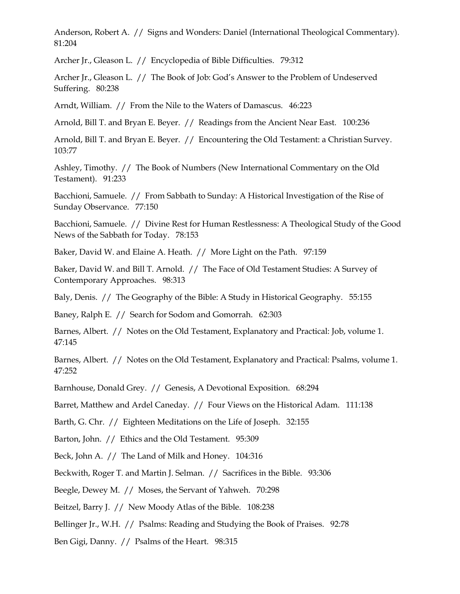Anderson, Robert A. // Signs and Wonders: Daniel (International Theological Commentary). 81:204

Archer Jr., Gleason L. // Encyclopedia of Bible Difficulties. 79:312

Archer Jr., Gleason L. // The Book of Job: God's Answer to the Problem of Undeserved Suffering. 80:238

Arndt, William. // From the Nile to the Waters of Damascus. 46:223

Arnold, Bill T. and Bryan E. Beyer. // Readings from the Ancient Near East. 100:236

Arnold, Bill T. and Bryan E. Beyer. // Encountering the Old Testament: a Christian Survey. 103:77

Ashley, Timothy. // The Book of Numbers (New International Commentary on the Old Testament). 91:233

Bacchioni, Samuele. // From Sabbath to Sunday: A Historical Investigation of the Rise of Sunday Observance. 77:150

Bacchioni, Samuele. // Divine Rest for Human Restlessness: A Theological Study of the Good News of the Sabbath for Today. 78:153

Baker, David W. and Elaine A. Heath. // More Light on the Path. 97:159

Baker, David W. and Bill T. Arnold. // The Face of Old Testament Studies: A Survey of Contemporary Approaches. 98:313

Baly, Denis. // The Geography of the Bible: A Study in Historical Geography. 55:155

Baney, Ralph E. // Search for Sodom and Gomorrah. 62:303

Barnes, Albert. // Notes on the Old Testament, Explanatory and Practical: Job, volume 1. 47:145

Barnes, Albert. // Notes on the Old Testament, Explanatory and Practical: Psalms, volume 1. 47:252

Barnhouse, Donald Grey. // Genesis, A Devotional Exposition. 68:294

Barret, Matthew and Ardel Caneday. // Four Views on the Historical Adam. 111:138

Barth, G. Chr. // Eighteen Meditations on the Life of Joseph. 32:155

Barton, John. // Ethics and the Old Testament. 95:309

Beck, John A. // The Land of Milk and Honey. 104:316

Beckwith, Roger T. and Martin J. Selman. // Sacrifices in the Bible. 93:306

Beegle, Dewey M. // Moses, the Servant of Yahweh. 70:298

Beitzel, Barry J. // New Moody Atlas of the Bible. 108:238

Bellinger Jr., W.H. // Psalms: Reading and Studying the Book of Praises. 92:78

Ben Gigi, Danny. // Psalms of the Heart. 98:315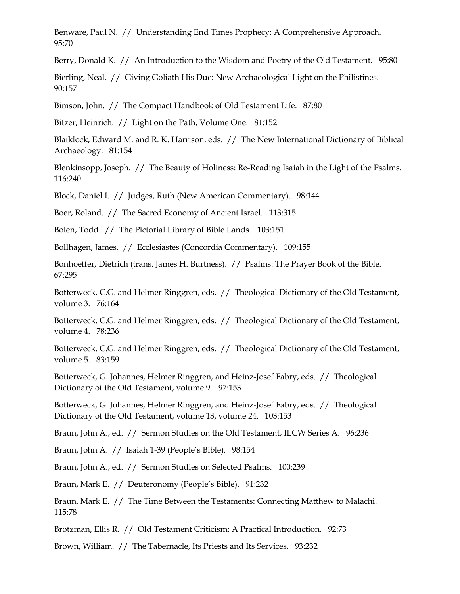Benware, Paul N. // Understanding End Times Prophecy: A Comprehensive Approach. 95:70

Berry, Donald K. // An Introduction to the Wisdom and Poetry of the Old Testament. 95:80

Bierling, Neal. // Giving Goliath His Due: New Archaeological Light on the Philistines. 90:157

Bimson, John. // The Compact Handbook of Old Testament Life. 87:80

Bitzer, Heinrich. // Light on the Path, Volume One. 81:152

Blaiklock, Edward M. and R. K. Harrison, eds. // The New International Dictionary of Biblical Archaeology. 81:154

Blenkinsopp, Joseph. // The Beauty of Holiness: Re-Reading Isaiah in the Light of the Psalms. 116:240

Block, Daniel I. // Judges, Ruth (New American Commentary). 98:144

Boer, Roland. // The Sacred Economy of Ancient Israel. 113:315

Bolen, Todd. // The Pictorial Library of Bible Lands. 103:151

Bollhagen, James. // Ecclesiastes (Concordia Commentary). 109:155

Bonhoeffer, Dietrich (trans. James H. Burtness). // Psalms: The Prayer Book of the Bible. 67:295

Botterweck, C.G. and Helmer Ringgren, eds. // Theological Dictionary of the Old Testament, volume 3. 76:164

Botterweck, C.G. and Helmer Ringgren, eds. // Theological Dictionary of the Old Testament, volume 4. 78:236

Botterweck, C.G. and Helmer Ringgren, eds. // Theological Dictionary of the Old Testament, volume 5. 83:159

Botterweck, G. Johannes, Helmer Ringgren, and Heinz-Josef Fabry, eds. // Theological Dictionary of the Old Testament, volume 9. 97:153

Botterweck, G. Johannes, Helmer Ringgren, and Heinz-Josef Fabry, eds. // Theological Dictionary of the Old Testament, volume 13, volume 24. 103:153

Braun, John A., ed. // Sermon Studies on the Old Testament, ILCW Series A. 96:236

Braun, John A. // Isaiah 1-39 (People's Bible). 98:154

Braun, John A., ed. // Sermon Studies on Selected Psalms. 100:239

Braun, Mark E. // Deuteronomy (People's Bible). 91:232

Braun, Mark E. // The Time Between the Testaments: Connecting Matthew to Malachi. 115:78

Brotzman, Ellis R. // Old Testament Criticism: A Practical Introduction. 92:73

Brown, William. // The Tabernacle, Its Priests and Its Services. 93:232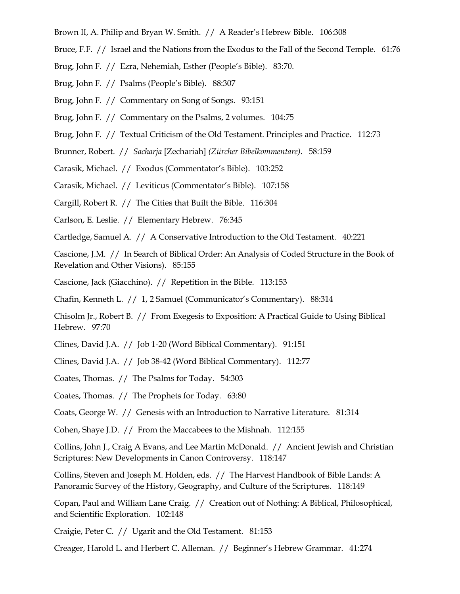- Brown II, A. Philip and Bryan W. Smith. // A Reader's Hebrew Bible. 106:308
- Bruce, F.F. // Israel and the Nations from the Exodus to the Fall of the Second Temple. 61:76
- Brug, John F. // Ezra, Nehemiah, Esther (People's Bible). 83:70.
- Brug, John F. // Psalms (People's Bible). 88:307
- Brug, John F. // Commentary on Song of Songs. 93:151
- Brug, John F. // Commentary on the Psalms, 2 volumes. 104:75
- Brug, John F. // Textual Criticism of the Old Testament. Principles and Practice. 112:73
- Brunner, Robert. // *Sacharja* [Zechariah] *(Zürcher Bibelkommentare).* 58:159
- Carasik, Michael. // Exodus (Commentator's Bible). 103:252
- Carasik, Michael. // Leviticus (Commentator's Bible). 107:158
- Cargill, Robert R. // The Cities that Built the Bible. 116:304
- Carlson, E. Leslie. // Elementary Hebrew. 76:345
- Cartledge, Samuel A. // A Conservative Introduction to the Old Testament. 40:221

Cascione, J.M. // In Search of Biblical Order: An Analysis of Coded Structure in the Book of Revelation and Other Visions). 85:155

Cascione, Jack (Giacchino). // Repetition in the Bible. 113:153

Chafin, Kenneth L. // 1, 2 Samuel (Communicator's Commentary). 88:314

Chisolm Jr., Robert B. // From Exegesis to Exposition: A Practical Guide to Using Biblical Hebrew. 97:70

Clines, David J.A. // Job 1-20 (Word Biblical Commentary). 91:151

Clines, David J.A. // Job 38-42 (Word Biblical Commentary). 112:77

Coates, Thomas. // The Psalms for Today. 54:303

Coates, Thomas. // The Prophets for Today. 63:80

Coats, George W. // Genesis with an Introduction to Narrative Literature. 81:314

Cohen, Shaye J.D. // From the Maccabees to the Mishnah. 112:155

Collins, John J., Craig A Evans, and Lee Martin McDonald. // Ancient Jewish and Christian Scriptures: New Developments in Canon Controversy. 118:147

Collins, Steven and Joseph M. Holden, eds. // The Harvest Handbook of Bible Lands: A Panoramic Survey of the History, Geography, and Culture of the Scriptures. 118:149

Copan, Paul and William Lane Craig. // Creation out of Nothing: A Biblical, Philosophical, and Scientific Exploration. 102:148

Craigie, Peter C. // Ugarit and the Old Testament. 81:153

Creager, Harold L. and Herbert C. Alleman. // Beginner's Hebrew Grammar. 41:274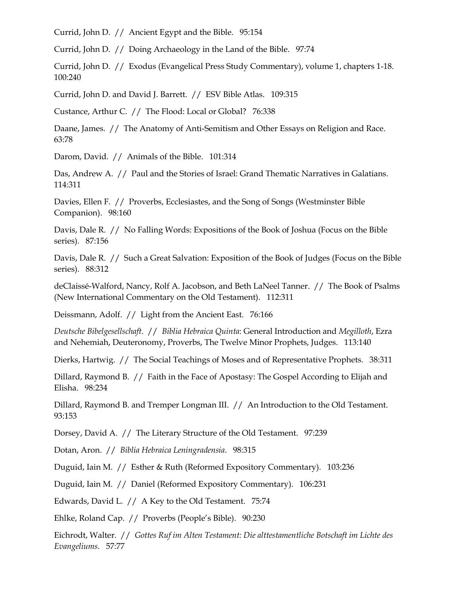Currid, John D. // Ancient Egypt and the Bible. 95:154

Currid, John D. // Doing Archaeology in the Land of the Bible. 97:74

Currid, John D. // Exodus (Evangelical Press Study Commentary), volume 1, chapters 1-18. 100:240

Currid, John D. and David J. Barrett. // ESV Bible Atlas. 109:315

Custance, Arthur C. // The Flood: Local or Global? 76:338

Daane, James. // The Anatomy of Anti-Semitism and Other Essays on Religion and Race. 63:78

Darom, David. // Animals of the Bible. 101:314

Das, Andrew A. // Paul and the Stories of Israel: Grand Thematic Narratives in Galatians. 114:311

Davies, Ellen F. // Proverbs, Ecclesiastes, and the Song of Songs (Westminster Bible Companion). 98:160

Davis, Dale R. // No Falling Words: Expositions of the Book of Joshua (Focus on the Bible series). 87:156

Davis, Dale R. // Such a Great Salvation: Exposition of the Book of Judges (Focus on the Bible series). 88:312

deClaissé-Walford, Nancy, Rolf A. Jacobson, and Beth LaNeel Tanner. // The Book of Psalms (New International Commentary on the Old Testament). 112:311

Deissmann, Adolf. // Light from the Ancient East. 76:166

*Deutsche Bibelgesellschaft*. // *Biblia Hebraica Quinta*: General Introduction and *Megilloth*, Ezra and Nehemiah, Deuteronomy, Proverbs, The Twelve Minor Prophets, Judges. 113:140

Dierks, Hartwig. // The Social Teachings of Moses and of Representative Prophets. 38:311

Dillard, Raymond B. // Faith in the Face of Apostasy: The Gospel According to Elijah and Elisha. 98:234

Dillard, Raymond B. and Tremper Longman III. // An Introduction to the Old Testament. 93:153

Dorsey, David A. // The Literary Structure of the Old Testament. 97:239

Dotan, Aron. // *Biblia Hebraica Leningradensia*. 98:315

Duguid, Iain M. // Esther & Ruth (Reformed Expository Commentary). 103:236

Duguid, Iain M. // Daniel (Reformed Expository Commentary). 106:231

Edwards, David L. // A Key to the Old Testament. 75:74

Ehlke, Roland Cap. // Proverbs (People's Bible). 90:230

Eichrodt, Walter. // *Gottes Ruf im Alten Testament: Die alttestamentliche Botschaft im Lichte des Evangeliums.* 57:77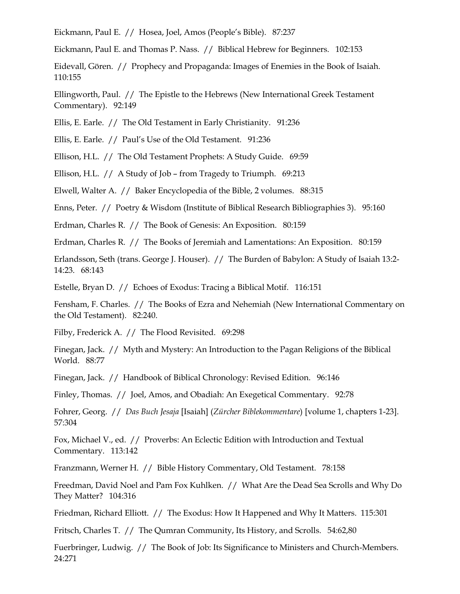Eickmann, Paul E. // Hosea, Joel, Amos (People's Bible). 87:237

Eickmann, Paul E. and Thomas P. Nass. // Biblical Hebrew for Beginners. 102:153

Eidevall, Gören. // Prophecy and Propaganda: Images of Enemies in the Book of Isaiah. 110:155

Ellingworth, Paul. // The Epistle to the Hebrews (New International Greek Testament Commentary). 92:149

Ellis, E. Earle. // The Old Testament in Early Christianity. 91:236

Ellis, E. Earle. // Paul's Use of the Old Testament. 91:236

Ellison, H.L. // The Old Testament Prophets: A Study Guide. 69:59

Ellison, H.L. // A Study of Job – from Tragedy to Triumph. 69:213

Elwell, Walter A. // Baker Encyclopedia of the Bible, 2 volumes. 88:315

Enns, Peter. // Poetry & Wisdom (Institute of Biblical Research Bibliographies 3). 95:160

Erdman, Charles R. // The Book of Genesis: An Exposition. 80:159

Erdman, Charles R. // The Books of Jeremiah and Lamentations: An Exposition. 80:159

Erlandsson, Seth (trans. George J. Houser). // The Burden of Babylon: A Study of Isaiah 13:2- 14:23. 68:143

Estelle, Bryan D. // Echoes of Exodus: Tracing a Biblical Motif. 116:151

Fensham, F. Charles. // The Books of Ezra and Nehemiah (New International Commentary on the Old Testament). 82:240.

Filby, Frederick A. // The Flood Revisited. 69:298

Finegan, Jack. // Myth and Mystery: An Introduction to the Pagan Religions of the Biblical World. 88:77

Finegan, Jack. // Handbook of Biblical Chronology: Revised Edition. 96:146

Finley, Thomas. // Joel, Amos, and Obadiah: An Exegetical Commentary. 92:78

Fohrer, Georg. // *Das Buch Jesaja* [Isaiah] (*Zürcher Biblekommentare*) [volume 1, chapters 1-23]. 57:304

Fox, Michael V., ed. // Proverbs: An Eclectic Edition with Introduction and Textual Commentary. 113:142

Franzmann, Werner H. // Bible History Commentary, Old Testament. 78:158

Freedman, David Noel and Pam Fox Kuhlken. // What Are the Dead Sea Scrolls and Why Do They Matter? 104:316

Friedman, Richard Elliott. // The Exodus: How It Happened and Why It Matters. 115:301

Fritsch, Charles T. // The Qumran Community, Its History, and Scrolls. 54:62,80

Fuerbringer, Ludwig. // The Book of Job: Its Significance to Ministers and Church-Members. 24:271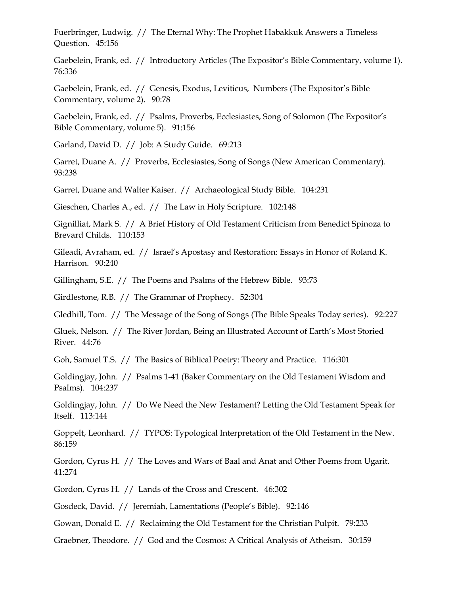Fuerbringer, Ludwig. // The Eternal Why: The Prophet Habakkuk Answers a Timeless Question. 45:156

Gaebelein, Frank, ed. // Introductory Articles (The Expositor's Bible Commentary, volume 1). 76:336

Gaebelein, Frank, ed. // Genesis, Exodus, Leviticus, Numbers (The Expositor's Bible Commentary, volume 2). 90:78

Gaebelein, Frank, ed. // Psalms, Proverbs, Ecclesiastes, Song of Solomon (The Expositor's Bible Commentary, volume 5). 91:156

Garland, David D. // Job: A Study Guide. 69:213

Garret, Duane A. // Proverbs, Ecclesiastes, Song of Songs (New American Commentary). 93:238

Garret, Duane and Walter Kaiser. // Archaeological Study Bible. 104:231

Gieschen, Charles A., ed. // The Law in Holy Scripture. 102:148

Gignilliat, Mark S. // A Brief History of Old Testament Criticism from Benedict Spinoza to Brevard Childs. 110:153

Gileadi, Avraham, ed. // Israel's Apostasy and Restoration: Essays in Honor of Roland K. Harrison. 90:240

Gillingham, S.E. // The Poems and Psalms of the Hebrew Bible. 93:73

Girdlestone, R.B. // The Grammar of Prophecy. 52:304

Gledhill, Tom. // The Message of the Song of Songs (The Bible Speaks Today series). 92:227

Gluek, Nelson. // The River Jordan, Being an Illustrated Account of Earth's Most Storied River. 44:76

Goh, Samuel T.S. // The Basics of Biblical Poetry: Theory and Practice. 116:301

Goldingjay, John. // Psalms 1-41 (Baker Commentary on the Old Testament Wisdom and Psalms). 104:237

Goldingjay, John. // Do We Need the New Testament? Letting the Old Testament Speak for Itself. 113:144

Goppelt, Leonhard. // TYPOS: Typological Interpretation of the Old Testament in the New. 86:159

Gordon, Cyrus H. // The Loves and Wars of Baal and Anat and Other Poems from Ugarit. 41:274

Gordon, Cyrus H. // Lands of the Cross and Crescent. 46:302

Gosdeck, David. // Jeremiah, Lamentations (People's Bible). 92:146

Gowan, Donald E. // Reclaiming the Old Testament for the Christian Pulpit. 79:233

Graebner, Theodore. // God and the Cosmos: A Critical Analysis of Atheism. 30:159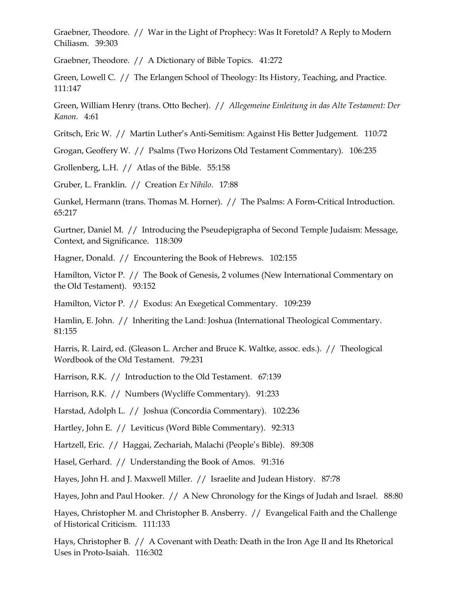Graebner, Theodore. // War in the Light of Prophecy: Was It Foretold? A Reply to Modern Chiliasm. 39:303

Graebner, Theodore. // A Dictionary of Bible Topics. 41:272

Green, Lowell C. // The Erlangen School of Theology: Its History, Teaching, and Practice. 111:147

Green, William Henry (trans. Otto Becher). // *Allegemeine Einleitung in das Alte Testament: Der Kanon.* 4:61

Gritsch, Eric W. // Martin Luther's Anti-Semitism: Against His Better Judgement. 110:72

Grogan, Geoffery W. // Psalms (Two Horizons Old Testament Commentary). 106:235

Grollenberg, L.H. // Atlas of the Bible. 55:158

Gruber, L. Franklin. // Creation *Ex Nihilo*. 17:88

Gunkel, Hermann (trans. Thomas M. Horner). // The Psalms: A Form-Critical Introduction. 65:217

Gurtner, Daniel M. // Introducing the Pseudepigrapha of Second Temple Judaism: Message, Context, and Significance. 118:309

Hagner, Donald. // Encountering the Book of Hebrews. 102:155

Hamilton, Victor P. // The Book of Genesis, 2 volumes (New International Commentary on the Old Testament). 93:152

Hamilton, Victor P. // Exodus: An Exegetical Commentary. 109:239

Hamlin, E. John. // Inheriting the Land: Joshua (International Theological Commentary. 81:155

Harris, R. Laird, ed. (Gleason L. Archer and Bruce K. Waltke, assoc. eds.). // Theological Wordbook of the Old Testament. 79:231

Harrison, R.K. // Introduction to the Old Testament. 67:139

Harrison, R.K. // Numbers (Wycliffe Commentary). 91:233

Harstad, Adolph L. // Joshua (Concordia Commentary). 102:236

Hartley, John E. // Leviticus (Word Bible Commentary). 92:313

Hartzell, Eric. // Haggai, Zechariah, Malachi (People's Bible). 89:308

Hasel, Gerhard. // Understanding the Book of Amos. 91:316

Hayes, John H. and J. Maxwell Miller. // Israelite and Judean History. 87:78

Hayes, John and Paul Hooker. // A New Chronology for the Kings of Judah and Israel. 88:80

Hayes, Christopher M. and Christopher B. Ansberry. // Evangelical Faith and the Challenge of Historical Criticism. 111:133

Hays, Christopher B. // A Covenant with Death: Death in the Iron Age II and Its Rhetorical Uses in Proto-Isaiah. 116:302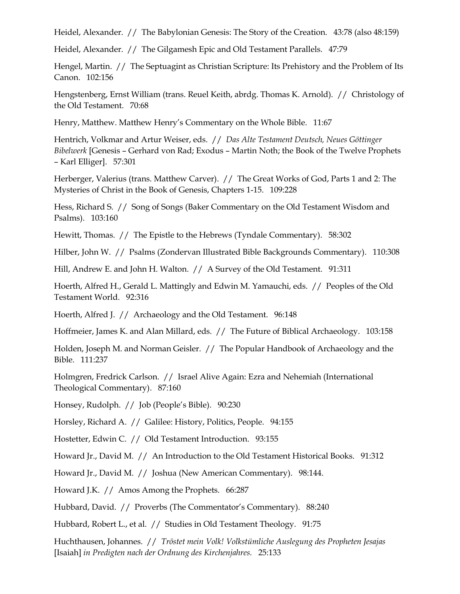Heidel, Alexander. // The Babylonian Genesis: The Story of the Creation. 43:78 (also 48:159)

Heidel, Alexander. // The Gilgamesh Epic and Old Testament Parallels. 47:79

Hengel, Martin. // The Septuagint as Christian Scripture: Its Prehistory and the Problem of Its Canon. 102:156

Hengstenberg, Ernst William (trans. Reuel Keith, abrdg. Thomas K. Arnold). // Christology of the Old Testament. 70:68

Henry, Matthew. Matthew Henry's Commentary on the Whole Bible. 11:67

Hentrich, Volkmar and Artur Weiser, eds. // *Das Alte Testament Deutsch, Neues Göttinger Bibelwerk* [Genesis – Gerhard von Rad; Exodus – Martin Noth; the Book of the Twelve Prophets – Karl Elliger]. 57:301

Herberger, Valerius (trans. Matthew Carver). // The Great Works of God, Parts 1 and 2: The Mysteries of Christ in the Book of Genesis, Chapters 1-15. 109:228

Hess, Richard S. // Song of Songs (Baker Commentary on the Old Testament Wisdom and Psalms). 103:160

Hewitt, Thomas. // The Epistle to the Hebrews (Tyndale Commentary). 58:302

Hilber, John W. // Psalms (Zondervan Illustrated Bible Backgrounds Commentary). 110:308

Hill, Andrew E. and John H. Walton. // A Survey of the Old Testament. 91:311

Hoerth, Alfred H., Gerald L. Mattingly and Edwin M. Yamauchi, eds. // Peoples of the Old Testament World. 92:316

Hoerth, Alfred J. // Archaeology and the Old Testament. 96:148

Hoffmeier, James K. and Alan Millard, eds. // The Future of Biblical Archaeology. 103:158

Holden, Joseph M. and Norman Geisler. // The Popular Handbook of Archaeology and the Bible. 111:237

Holmgren, Fredrick Carlson. // Israel Alive Again: Ezra and Nehemiah (International Theological Commentary). 87:160

Honsey, Rudolph. // Job (People's Bible). 90:230

Horsley, Richard A. // Galilee: History, Politics, People. 94:155

Hostetter, Edwin C. // Old Testament Introduction. 93:155

Howard Jr., David M. // An Introduction to the Old Testament Historical Books. 91:312

Howard Jr., David M. // Joshua (New American Commentary). 98:144.

Howard J.K. // Amos Among the Prophets. 66:287

Hubbard, David. // Proverbs (The Commentator's Commentary). 88:240

Hubbard, Robert L., et al. // Studies in Old Testament Theology. 91:75

Huchthausen, Johannes. // *Tröstet mein Volk! Volkstümliche Auslegung des Propheten Jesajas*  [Isaiah] *in Predigten nach der Ordnung des Kirchenjahres.* 25:133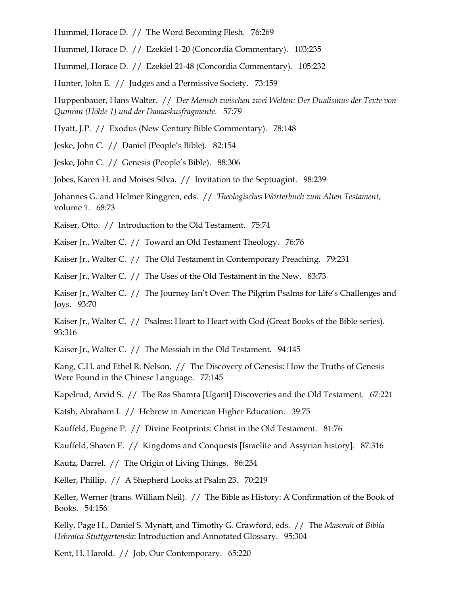Hummel, Horace D. // The Word Becoming Flesh. 76:269

Hummel, Horace D. // Ezekiel 1-20 (Concordia Commentary). 103:235

Hummel, Horace D. // Ezekiel 21-48 (Concordia Commentary). 105:232

Hunter, John E. // Judges and a Permissive Society. 73:159

Huppenbauer, Hans Walter. // *Der Mensch zwischen zwei Welten: Der Dualismus der Texte von Qumran (Höhle 1) und der Damaskusfragmente.* 57:79

Hyatt, J.P. // Exodus (New Century Bible Commentary). 78:148

Jeske, John C. // Daniel (People's Bible). 82:154

Jeske, John C. // Genesis (People's Bible). 88:306

Jobes, Karen H. and Moises Silva. // Invitation to the Septuagint. 98:239

Johannes G. and Helmer Ringgren, eds. // *Theologisches Wörterbuch zum Alten Testament*, volume 1. 68:73

Kaiser, Otto. // Introduction to the Old Testament. 75:74

Kaiser Jr., Walter C. // Toward an Old Testament Theology. 76:76

Kaiser Jr., Walter C. // The Old Testament in Contemporary Preaching. 79:231

Kaiser Jr., Walter C. // The Uses of the Old Testament in the New. 83:73

Kaiser Jr., Walter C. // The Journey Isn't Over: The Pilgrim Psalms for Life's Challenges and Joys. 93:70

Kaiser Jr., Walter C. // Psalms: Heart to Heart with God (Great Books of the Bible series). 93:316

Kaiser Jr., Walter C. // The Messiah in the Old Testament. 94:145

Kang, C.H. and Ethel R. Nelson. // The Discovery of Genesis: How the Truths of Genesis Were Found in the Chinese Language. 77:145

Kapelrud, Arvid S. // The Ras Shamra [Ugarit] Discoveries and the Old Testament. 67:221

Katsh, Abraham I. // Hebrew in American Higher Education. 39:75

Kauffeld, Eugene P. // Divine Footprints: Christ in the Old Testament. 81:76

Kauffeld, Shawn E. // Kingdoms and Conquests [Israelite and Assyrian history]. 87:316

Kautz, Darrel. // The Origin of Living Things. 86:234

Keller, Phillip. // A Shepherd Looks at Psalm 23. 70:219

Keller, Werner (trans. William Neil). // The Bible as History: A Confirmation of the Book of Books. 54:156

Kelly, Page H., Daniel S. Mynatt, and Timothy G. Crawford, eds. // The *Masorah* of *Biblia Hebraica Stuttgartensia*: Introduction and Annotated Glossary. 95:304

Kent, H. Harold. // Job, Our Contemporary. 65:220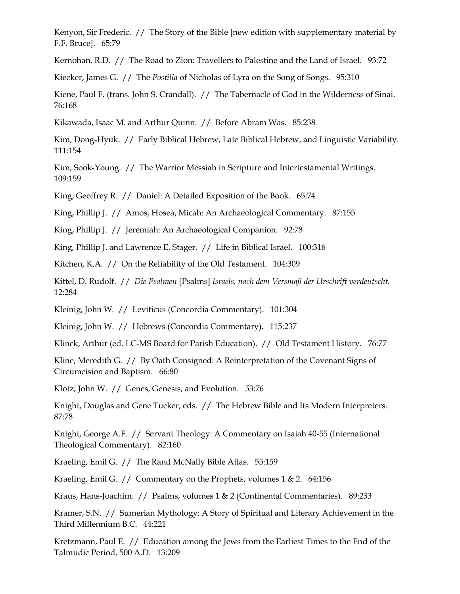Kenyon, Sir Frederic. // The Story of the Bible [new edition with supplementary material by F.F. Bruce]. 65:79

Kernohan, R.D. // The Road to Zion: Travellers to Palestine and the Land of Israel. 93:72

Kiecker, James G. // The *Postilla* of Nicholas of Lyra on the Song of Songs. 95:310

Kiene, Paul F. (trans. John S. Crandall). // The Tabernacle of God in the Wilderness of Sinai. 76:168

Kikawada, Isaac M. and Arthur Quinn. // Before Abram Was. 85:238

Kim, Dong-Hyuk. // Early Biblical Hebrew, Late Biblical Hebrew, and Linguistic Variability. 111:154

Kim, Sook-Young. // The Warrior Messiah in Scripture and Intertestamental Writings. 109:159

King, Geoffrey R. // Daniel: A Detailed Exposition of the Book. 65:74

King, Phillip J. // Amos, Hosea, Micah: An Archaeological Commentary. 87:155

King, Phillip J. // Jeremiah: An Archaeological Companion. 92:78

King, Phillip J. and Lawrence E. Stager. // Life in Biblical Israel. 100:316

Kitchen, K.A. // On the Reliability of the Old Testament. 104:309

Kittel, D. Rudolf. // *Die Psalmen* [Psalms] *Israels, nach dem Versmaß der Urschrift verdeutscht.* 12:284

Kleinig, John W. // Leviticus (Concordia Commentary). 101:304

Kleinig, John W. // Hebrews (Concordia Commentary). 115:237

Klinck, Arthur (ed. LC-MS Board for Parish Education). // Old Testament History. 76:77

Kline, Meredith G. // By Oath Consigned: A Reinterpretation of the Covenant Signs of Circumcision and Baptism. 66:80

Klotz, John W. // Genes, Genesis, and Evolution. 53:76

Knight, Douglas and Gene Tucker, eds. // The Hebrew Bible and Its Modern Interpreters. 87:78

Knight, George A.F. // Servant Theology: A Commentary on Isaiah 40-55 (International Theological Commentary). 82:160

Kraeling, Emil G. // The Rand McNally Bible Atlas. 55:159

Kraeling, Emil G. // Commentary on the Prophets, volumes 1 & 2. 64:156

Kraus, Hans-Joachim. // Psalms, volumes 1 & 2 (Continental Commentaries). 89:233

Kramer, S.N. // Sumerian Mythology: A Story of Spiritual and Literary Achievement in the Third Millennium B.C. 44:221

Kretzmann, Paul E. // Education among the Jews from the Earliest Times to the End of the Talmudic Period, 500 A.D. 13:209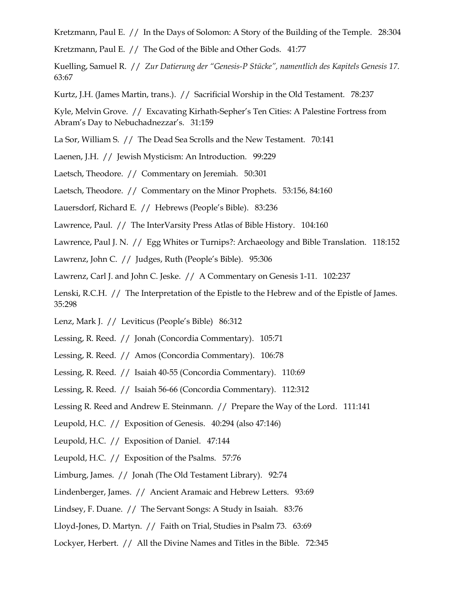Kretzmann, Paul E. // In the Days of Solomon: A Story of the Building of the Temple. 28:304

Kretzmann, Paul E. // The God of the Bible and Other Gods. 41:77

Kuelling, Samuel R. // *Zur Datierung der "Genesis-P Stücke", namentlich des Kapitels Genesis 17*. 63:67

Kurtz, J.H. (James Martin, trans.). // Sacrificial Worship in the Old Testament. 78:237

Kyle, Melvin Grove. // Excavating Kirhath-Sepher's Ten Cities: A Palestine Fortress from Abram's Day to Nebuchadnezzar's. 31:159

La Sor, William S. // The Dead Sea Scrolls and the New Testament. 70:141

Laenen, J.H. // Jewish Mysticism: An Introduction. 99:229

Laetsch, Theodore. // Commentary on Jeremiah. 50:301

Laetsch, Theodore. // Commentary on the Minor Prophets. 53:156, 84:160

Lauersdorf, Richard E. // Hebrews (People's Bible). 83:236

Lawrence, Paul. // The InterVarsity Press Atlas of Bible History. 104:160

Lawrence, Paul J. N. // Egg Whites or Turnips?: Archaeology and Bible Translation. 118:152

Lawrenz, John C. // Judges, Ruth (People's Bible). 95:306

Lawrenz, Carl J. and John C. Jeske. // A Commentary on Genesis 1-11. 102:237

Lenski, R.C.H. // The Interpretation of the Epistle to the Hebrew and of the Epistle of James. 35:298

Lenz, Mark J. // Leviticus (People's Bible) 86:312

Lessing, R. Reed. // Jonah (Concordia Commentary). 105:71

Lessing, R. Reed. // Amos (Concordia Commentary). 106:78

Lessing, R. Reed. // Isaiah 40-55 (Concordia Commentary). 110:69

Lessing, R. Reed. // Isaiah 56-66 (Concordia Commentary). 112:312

Lessing R. Reed and Andrew E. Steinmann. // Prepare the Way of the Lord. 111:141

Leupold, H.C. // Exposition of Genesis. 40:294 (also 47:146)

Leupold, H.C. // Exposition of Daniel. 47:144

Leupold, H.C. // Exposition of the Psalms. 57:76

Limburg, James. // Jonah (The Old Testament Library). 92:74

Lindenberger, James. // Ancient Aramaic and Hebrew Letters. 93:69

Lindsey, F. Duane. // The Servant Songs: A Study in Isaiah. 83:76

Lloyd-Jones, D. Martyn. // Faith on Trial, Studies in Psalm 73. 63:69

Lockyer, Herbert. // All the Divine Names and Titles in the Bible. 72:345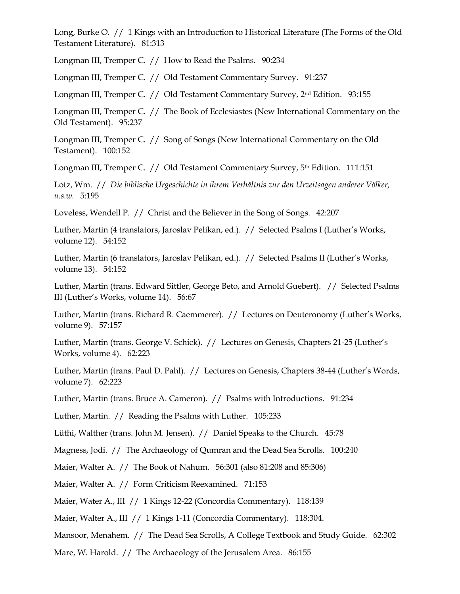Long, Burke O. // 1 Kings with an Introduction to Historical Literature (The Forms of the Old Testament Literature). 81:313

Longman III, Tremper C. // How to Read the Psalms. 90:234

Longman III, Tremper C. // Old Testament Commentary Survey. 91:237

Longman III, Tremper C. // Old Testament Commentary Survey, 2nd Edition. 93:155

Longman III, Tremper C. // The Book of Ecclesiastes (New International Commentary on the Old Testament). 95:237

Longman III, Tremper C. // Song of Songs (New International Commentary on the Old Testament). 100:152

Longman III, Tremper C. // Old Testament Commentary Survey, 5<sup>th</sup> Edition. 111:151

Lotz, Wm. // *Die biblische Urgeschichte in ihrem Verhältnis zur den Urzeitsagen anderer Völker, u.s.w.* 5:195

Loveless, Wendell P. // Christ and the Believer in the Song of Songs. 42:207

Luther, Martin (4 translators, Jaroslav Pelikan, ed.). // Selected Psalms I (Luther's Works, volume 12). 54:152

Luther, Martin (6 translators, Jaroslav Pelikan, ed.). // Selected Psalms II (Luther's Works, volume 13). 54:152

Luther, Martin (trans. Edward Sittler, George Beto, and Arnold Guebert). // Selected Psalms III (Luther's Works, volume 14). 56:67

Luther, Martin (trans. Richard R. Caemmerer). // Lectures on Deuteronomy (Luther's Works, volume 9). 57:157

Luther, Martin (trans. George V. Schick). // Lectures on Genesis, Chapters 21-25 (Luther's Works, volume 4). 62:223

Luther, Martin (trans. Paul D. Pahl). // Lectures on Genesis, Chapters 38-44 (Luther's Words, volume 7). 62:223

Luther, Martin (trans. Bruce A. Cameron). // Psalms with Introductions. 91:234

Luther, Martin. // Reading the Psalms with Luther. 105:233

Lüthi, Walther (trans. John M. Jensen). // Daniel Speaks to the Church. 45:78

Magness, Jodi. // The Archaeology of Qumran and the Dead Sea Scrolls. 100:240

Maier, Walter A. // The Book of Nahum. 56:301 (also 81:208 and 85:306)

Maier, Walter A. // Form Criticism Reexamined. 71:153

Maier, Water A., III // 1 Kings 12-22 (Concordia Commentary). 118:139

Maier, Walter A., III // 1 Kings 1-11 (Concordia Commentary). 118:304.

Mansoor, Menahem. // The Dead Sea Scrolls, A College Textbook and Study Guide. 62:302

Mare, W. Harold. // The Archaeology of the Jerusalem Area. 86:155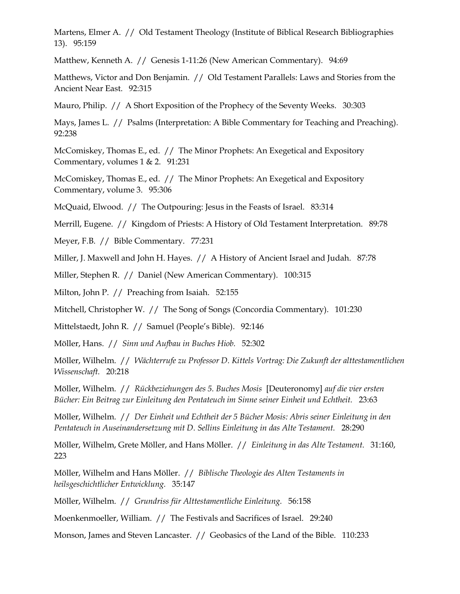Martens, Elmer A. // Old Testament Theology (Institute of Biblical Research Bibliographies 13). 95:159

Matthew, Kenneth A. // Genesis 1-11:26 (New American Commentary). 94:69

Matthews, Victor and Don Benjamin. // Old Testament Parallels: Laws and Stories from the Ancient Near East. 92:315

Mauro, Philip. // A Short Exposition of the Prophecy of the Seventy Weeks. 30:303

Mays, James L. // Psalms (Interpretation: A Bible Commentary for Teaching and Preaching). 92:238

McComiskey, Thomas E., ed. // The Minor Prophets: An Exegetical and Expository Commentary, volumes 1 & 2. 91:231

McComiskey, Thomas E., ed. // The Minor Prophets: An Exegetical and Expository Commentary, volume 3. 95:306

McQuaid, Elwood. // The Outpouring: Jesus in the Feasts of Israel. 83:314

Merrill, Eugene. // Kingdom of Priests: A History of Old Testament Interpretation. 89:78

Meyer, F.B. // Bible Commentary. 77:231

Miller, J. Maxwell and John H. Hayes. // A History of Ancient Israel and Judah. 87:78

Miller, Stephen R. // Daniel (New American Commentary). 100:315

Milton, John P. // Preaching from Isaiah. 52:155

Mitchell, Christopher W. // The Song of Songs (Concordia Commentary). 101:230

Mittelstaedt, John R. // Samuel (People's Bible). 92:146

Möller, Hans. // *Sinn und Aufbau in Buches Hiob.* 52:302

Möller, Wilhelm. // *Wächterrufe zu Professor D. Kittels Vortrag: Die Zukunft der alttestamentlichen Wissenschaft.* 20:218

Möller, Wilhelm. // *Rückbeziehungen des 5. Buches Mosis* [Deuteronomy] *auf die vier ersten Bücher: Ein Beitrag zur Einleitung den Pentateuch im Sinne seiner Einheit und Echtheit.* 23:63

Möller, Wilhelm. // *Der Einheit und Echtheit der 5 Bücher Mosis: Abris seiner Einleitung in den Pentateuch in Auseinandersetzung mit D. Sellins Einleitung in das Alte Testament.* 28:290

Möller, Wilhelm, Grete Möller, and Hans Möller. // *Einleitung in das Alte Testament.* 31:160, 223

Möller, Wilhelm and Hans Möller. // *Biblische Theologie des Alten Testaments in heilsgeschichtlicher Entwicklung.* 35:147

Möller, Wilhelm. // *Grundriss für Alttestamentliche Einleitung.* 56:158

Moenkenmoeller, William. // The Festivals and Sacrifices of Israel. 29:240

Monson, James and Steven Lancaster. // Geobasics of the Land of the Bible. 110:233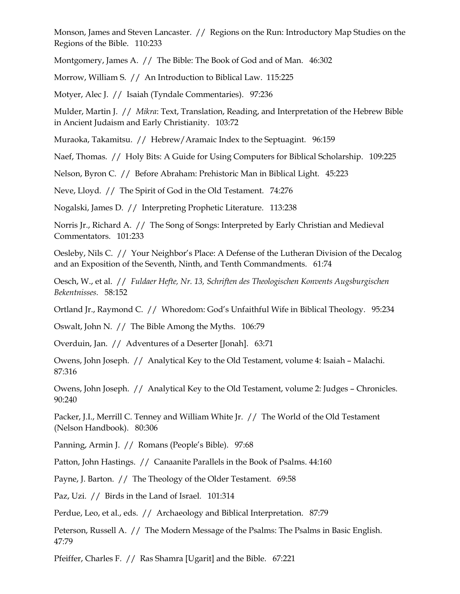Monson, James and Steven Lancaster. // Regions on the Run: Introductory Map Studies on the Regions of the Bible. 110:233

Montgomery, James A. // The Bible: The Book of God and of Man. 46:302

Morrow, William S. // An Introduction to Biblical Law. 115:225

Motyer, Alec J. // Isaiah (Tyndale Commentaries). 97:236

Mulder, Martin J. // *Mikra*: Text, Translation, Reading, and Interpretation of the Hebrew Bible in Ancient Judaism and Early Christianity. 103:72

Muraoka, Takamitsu. // Hebrew/Aramaic Index to the Septuagint. 96:159

Naef, Thomas. // Holy Bits: A Guide for Using Computers for Biblical Scholarship. 109:225

Nelson, Byron C. // Before Abraham: Prehistoric Man in Biblical Light. 45:223

Neve, Lloyd. // The Spirit of God in the Old Testament. 74:276

Nogalski, James D. // Interpreting Prophetic Literature. 113:238

Norris Jr., Richard A. // The Song of Songs: Interpreted by Early Christian and Medieval Commentators. 101:233

Oesleby, Nils C. // Your Neighbor's Place: A Defense of the Lutheran Division of the Decalog and an Exposition of the Seventh, Ninth, and Tenth Commandments. 61:74

Oesch, W., et al. // *Fuldaer Hefte, Nr. 13, Schriften des Theologischen Konvents Augsburgischen Bekentnisses.* 58:152

Ortland Jr., Raymond C. // Whoredom: God's Unfaithful Wife in Biblical Theology. 95:234

Oswalt, John N. // The Bible Among the Myths. 106:79

Overduin, Jan. // Adventures of a Deserter [Jonah]. 63:71

Owens, John Joseph. // Analytical Key to the Old Testament, volume 4: Isaiah – Malachi. 87:316

Owens, John Joseph. // Analytical Key to the Old Testament, volume 2: Judges – Chronicles. 90:240

Packer, J.I., Merrill C. Tenney and William White Jr. // The World of the Old Testament (Nelson Handbook). 80:306

Panning, Armin J. // Romans (People's Bible). 97:68

Patton, John Hastings. // Canaanite Parallels in the Book of Psalms. 44:160

Payne, J. Barton. // The Theology of the Older Testament. 69:58

Paz, Uzi. // Birds in the Land of Israel. 101:314

Perdue, Leo, et al., eds. // Archaeology and Biblical Interpretation. 87:79

Peterson, Russell A. // The Modern Message of the Psalms: The Psalms in Basic English. 47:79

Pfeiffer, Charles F. // Ras Shamra [Ugarit] and the Bible. 67:221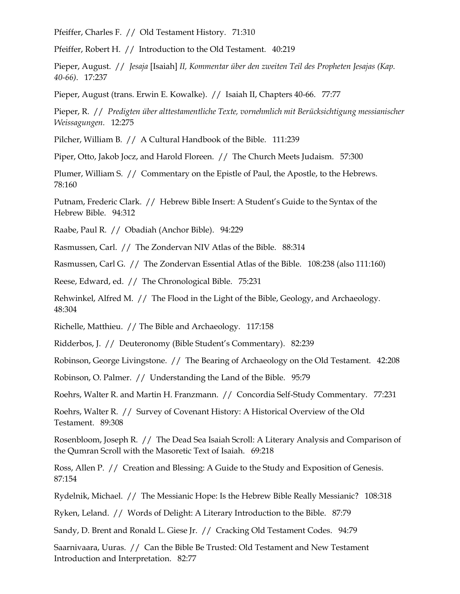Pfeiffer, Charles F. // Old Testament History. 71:310

Pfeiffer, Robert H. // Introduction to the Old Testament. 40:219

Pieper, August. // *Jesaja* [Isaiah] *II, Kommentar über den zweiten Teil des Propheten Jesajas (Kap. 40-66)*. 17:237

Pieper, August (trans. Erwin E. Kowalke). // Isaiah II, Chapters 40-66. 77:77

Pieper, R. // *Predigten über alttestamentliche Texte, vornehmlich mit Berücksichtigung messianischer Weissagungen.* 12:275

Pilcher, William B. // A Cultural Handbook of the Bible. 111:239

Piper, Otto, Jakob Jocz, and Harold Floreen. // The Church Meets Judaism. 57:300

Plumer, William S. // Commentary on the Epistle of Paul, the Apostle, to the Hebrews. 78:160

Putnam, Frederic Clark. // Hebrew Bible Insert: A Student's Guide to the Syntax of the Hebrew Bible. 94:312

Raabe, Paul R. // Obadiah (Anchor Bible). 94:229

Rasmussen, Carl. // The Zondervan NIV Atlas of the Bible. 88:314

Rasmussen, Carl G. // The Zondervan Essential Atlas of the Bible. 108:238 (also 111:160)

Reese, Edward, ed. // The Chronological Bible. 75:231

Rehwinkel, Alfred M. // The Flood in the Light of the Bible, Geology, and Archaeology. 48:304

Richelle, Matthieu. // The Bible and Archaeology. 117:158

Ridderbos, J. // Deuteronomy (Bible Student's Commentary). 82:239

Robinson, George Livingstone. // The Bearing of Archaeology on the Old Testament. 42:208

Robinson, O. Palmer. // Understanding the Land of the Bible. 95:79

Roehrs, Walter R. and Martin H. Franzmann. // Concordia Self-Study Commentary. 77:231

Roehrs, Walter R. // Survey of Covenant History: A Historical Overview of the Old Testament. 89:308

Rosenbloom, Joseph R. // The Dead Sea Isaiah Scroll: A Literary Analysis and Comparison of the Qumran Scroll with the Masoretic Text of Isaiah. 69:218

Ross, Allen P. // Creation and Blessing: A Guide to the Study and Exposition of Genesis. 87:154

Rydelnik, Michael. // The Messianic Hope: Is the Hebrew Bible Really Messianic? 108:318

Ryken, Leland. // Words of Delight: A Literary Introduction to the Bible. 87:79

Sandy, D. Brent and Ronald L. Giese Jr. // Cracking Old Testament Codes. 94:79

Saarnivaara, Uuras. // Can the Bible Be Trusted: Old Testament and New Testament Introduction and Interpretation. 82:77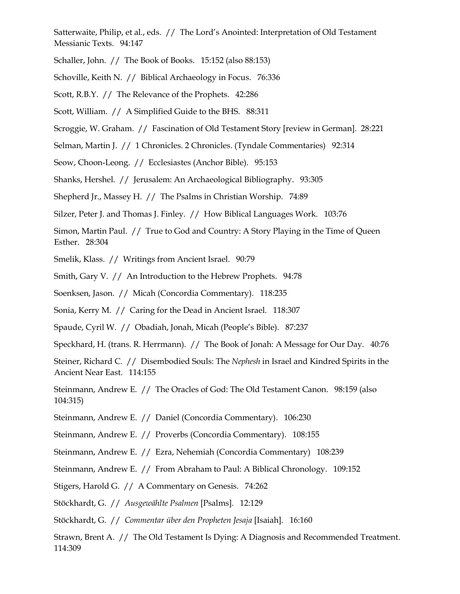Satterwaite, Philip, et al., eds. // The Lord's Anointed: Interpretation of Old Testament Messianic Texts. 94:147

Schaller, John. // The Book of Books. 15:152 (also 88:153)

Schoville, Keith N. // Biblical Archaeology in Focus. 76:336

Scott, R.B.Y. // The Relevance of the Prophets. 42:286

Scott, William. // A Simplified Guide to the BHS. 88:311

Scroggie, W. Graham. // Fascination of Old Testament Story [review in German]. 28:221

Selman, Martin J. // 1 Chronicles. 2 Chronicles. (Tyndale Commentaries) 92:314

Seow, Choon-Leong. // Ecclesiastes (Anchor Bible). 95:153

Shanks, Hershel. // Jerusalem: An Archaeological Bibliography. 93:305

Shepherd Jr., Massey H. // The Psalms in Christian Worship. 74:89

Silzer, Peter J. and Thomas J. Finley. // How Biblical Languages Work. 103:76

Simon, Martin Paul. // True to God and Country: A Story Playing in the Time of Queen Esther. 28:304

Smelik, Klass. // Writings from Ancient Israel. 90:79

Smith, Gary V. // An Introduction to the Hebrew Prophets. 94:78

Soenksen, Jason. // Micah (Concordia Commentary). 118:235

Sonia, Kerry M. // Caring for the Dead in Ancient Israel. 118:307

Spaude, Cyril W. // Obadiah, Jonah, Micah (People's Bible). 87:237

Speckhard, H. (trans. R. Herrmann). // The Book of Jonah: A Message for Our Day. 40:76

Steiner, Richard C. // Disembodied Souls: The *Nephesh* in Israel and Kindred Spirits in the Ancient Near East. 114:155

Steinmann, Andrew E. // The Oracles of God: The Old Testament Canon. 98:159 (also 104:315)

Steinmann, Andrew E. // Daniel (Concordia Commentary). 106:230

Steinmann, Andrew E. // Proverbs (Concordia Commentary). 108:155

Steinmann, Andrew E. // Ezra, Nehemiah (Concordia Commentary) 108:239

Steinmann, Andrew E. // From Abraham to Paul: A Biblical Chronology. 109:152

Stigers, Harold G. // A Commentary on Genesis. 74:262

Stöckhardt, G. // *Ausgewählte Psalmen* [Psalms]*.* 12:129

Stöckhardt, G. // *Commentar über den Propheten Jesaja* [Isaiah]*.* 16:160

Strawn, Brent A. // The Old Testament Is Dying: A Diagnosis and Recommended Treatment. 114:309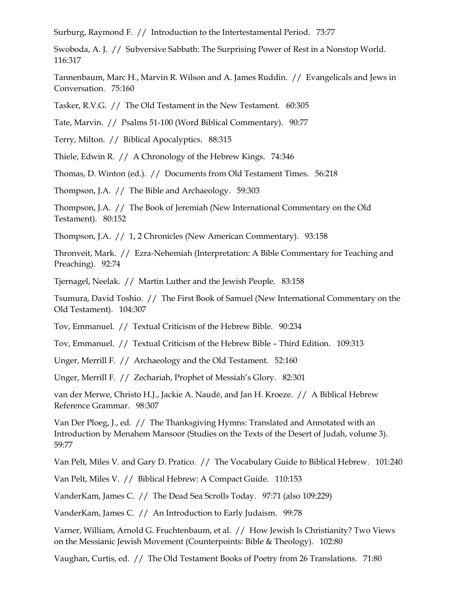Surburg, Raymond F. // Introduction to the Intertestamental Period. 73:77

Swoboda, A. J. // Subversive Sabbath: The Surprising Power of Rest in a Nonstop World. 116:317

Tannenbaum, Marc H., Marvin R. Wilson and A. James Ruddin. // Evangelicals and Jews in Conversation. 75:160

Tasker, R.V.G. // The Old Testament in the New Testament. 60:305

Tate, Marvin. // Psalms 51-100 (Word Biblical Commentary). 90:77

Terry, Milton. // Biblical Apocalyptics. 88:315

Thiele, Edwin R. // A Chronology of the Hebrew Kings. 74:346

Thomas, D. Winton (ed.). // Documents from Old Testament Times. 56:218

Thompson, J.A. // The Bible and Archaeology. 59:303

Thompson, J.A. // The Book of Jeremiah (New International Commentary on the Old Testament). 80:152

Thompson, J.A. // 1, 2 Chronicles (New American Commentary). 93:158

Thronveit, Mark. // Ezra-Nehemiah (Interpretation: A Bible Commentary for Teaching and Preaching). 92:74

Tjernagel, Neelak. // Martin Luther and the Jewish People. 83:158

Tsumura, David Toshio. // The First Book of Samuel (New International Commentary on the Old Testament). 104:307

Tov, Emmanuel. // Textual Criticism of the Hebrew Bible. 90:234

Tov, Emmanuel. // Textual Criticism of the Hebrew Bible – Third Edition. 109:313

Unger, Merrill F. // Archaeology and the Old Testament. 52:160

Unger, Merrill F. // Zechariah, Prophet of Messiah's Glory. 82:301

van der Merwe, Christo H.J., Jackie A. Naudé, and Jan H. Kroeze. // A Biblical Hebrew Reference Grammar. 98:307

Van Der Ploeg, J., ed. // The Thanksgiving Hymns: Translated and Annotated with an Introduction by Menahem Mansoor (Studies on the Texts of the Desert of Judah, volume 3). 59:77

Van Pelt, Miles V. and Gary D. Pratico. // The Vocabulary Guide to Biblical Hebrew. 101:240

Van Pelt, Miles V. // Biblical Hebrew: A Compact Guide. 110:153

VanderKam, James C. // The Dead Sea Scrolls Today. 97:71 (also 109:229)

VanderKam, James C. // An Introduction to Early Judaism. 99:78

Varner, William, Arnold G. Fruchtenbaum, et al. // How Jewish Is Christianity? Two Views on the Messianic Jewish Movement (Counterpoints: Bible & Theology). 102:80

Vaughan, Curtis, ed. // The Old Testament Books of Poetry from 26 Translations. 71:80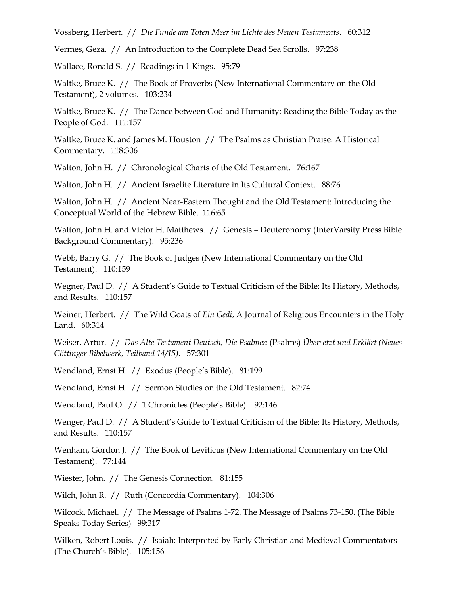Vossberg, Herbert. // *Die Funde am Toten Meer im Lichte des Neuen Testaments*. 60:312

Vermes, Geza. // An Introduction to the Complete Dead Sea Scrolls. 97:238

Wallace, Ronald S. // Readings in 1 Kings. 95:79

Waltke, Bruce K. // The Book of Proverbs (New International Commentary on the Old Testament), 2 volumes. 103:234

Waltke, Bruce K. // The Dance between God and Humanity: Reading the Bible Today as the People of God. 111:157

Waltke, Bruce K. and James M. Houston // The Psalms as Christian Praise: A Historical Commentary. 118:306

Walton, John H. // Chronological Charts of the Old Testament. 76:167

Walton, John H. // Ancient Israelite Literature in Its Cultural Context. 88:76

Walton, John H. // Ancient Near-Eastern Thought and the Old Testament: Introducing the Conceptual World of the Hebrew Bible. 116:65

Walton, John H. and Victor H. Matthews. // Genesis – Deuteronomy (InterVarsity Press Bible Background Commentary). 95:236

Webb, Barry G. // The Book of Judges (New International Commentary on the Old Testament). 110:159

Wegner, Paul D. // A Student's Guide to Textual Criticism of the Bible: Its History, Methods, and Results. 110:157

Weiner, Herbert. // The Wild Goats of *Ein Gedi*, A Journal of Religious Encounters in the Holy Land. 60:314

Weiser, Artur. // *Das Alte Testament Deutsch, Die Psalmen* (Psalms) *Übersetzt und Erklärt (Neues Göttinger Bibelwerk, Teilband 14/15).* 57:301

Wendland, Ernst H. // Exodus (People's Bible). 81:199

Wendland, Ernst H. // Sermon Studies on the Old Testament. 82:74

Wendland, Paul O. // 1 Chronicles (People's Bible). 92:146

Wenger, Paul D. // A Student's Guide to Textual Criticism of the Bible: Its History, Methods, and Results. 110:157

Wenham, Gordon J. // The Book of Leviticus (New International Commentary on the Old Testament). 77:144

Wiester, John. // The Genesis Connection. 81:155

Wilch, John R. // Ruth (Concordia Commentary). 104:306

Wilcock, Michael. // The Message of Psalms 1-72. The Message of Psalms 73-150. (The Bible Speaks Today Series) 99:317

Wilken, Robert Louis. // Isaiah: Interpreted by Early Christian and Medieval Commentators (The Church's Bible). 105:156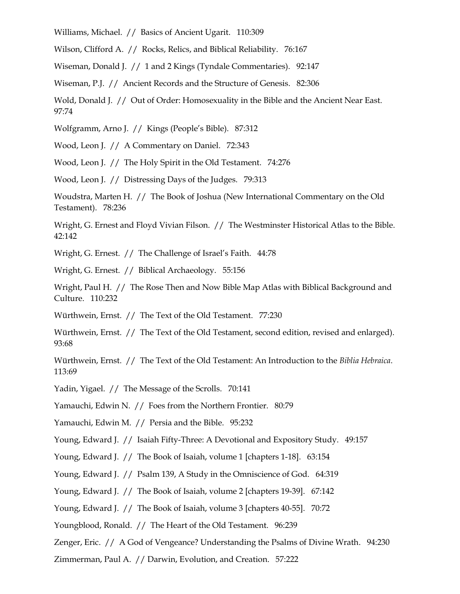Williams, Michael. // Basics of Ancient Ugarit. 110:309

Wilson, Clifford A. // Rocks, Relics, and Biblical Reliability. 76:167

Wiseman, Donald J. // 1 and 2 Kings (Tyndale Commentaries). 92:147

Wiseman, P.J. // Ancient Records and the Structure of Genesis. 82:306

Wold, Donald J. // Out of Order: Homosexuality in the Bible and the Ancient Near East. 97:74

Wolfgramm, Arno J. // Kings (People's Bible). 87:312

Wood, Leon J. // A Commentary on Daniel. 72:343

Wood, Leon J. // The Holy Spirit in the Old Testament. 74:276

Wood, Leon J. // Distressing Days of the Judges. 79:313

Woudstra, Marten H. // The Book of Joshua (New International Commentary on the Old Testament). 78:236

Wright, G. Ernest and Floyd Vivian Filson. // The Westminster Historical Atlas to the Bible. 42:142

Wright, G. Ernest. // The Challenge of Israel's Faith. 44:78

Wright, G. Ernest. // Biblical Archaeology. 55:156

Wright, Paul H. // The Rose Then and Now Bible Map Atlas with Biblical Background and Culture. 110:232

Würthwein, Ernst. // The Text of the Old Testament. 77:230

Würthwein, Ernst. // The Text of the Old Testament, second edition, revised and enlarged). 93:68

Würthwein, Ernst. // The Text of the Old Testament: An Introduction to the *Biblia Hebraica*. 113:69

Yadin, Yigael. // The Message of the Scrolls. 70:141

Yamauchi, Edwin N. // Foes from the Northern Frontier. 80:79

Yamauchi, Edwin M. // Persia and the Bible. 95:232

Young, Edward J. // Isaiah Fifty-Three: A Devotional and Expository Study. 49:157

Young, Edward J. // The Book of Isaiah, volume 1 [chapters 1-18]. 63:154

Young, Edward J. // Psalm 139, A Study in the Omniscience of God. 64:319

Young, Edward J. // The Book of Isaiah, volume 2 [chapters 19-39]. 67:142

Young, Edward J. // The Book of Isaiah, volume 3 [chapters 40-55]. 70:72

Youngblood, Ronald. // The Heart of the Old Testament. 96:239

Zenger, Eric. // A God of Vengeance? Understanding the Psalms of Divine Wrath. 94:230

Zimmerman, Paul A. // Darwin, Evolution, and Creation. 57:222